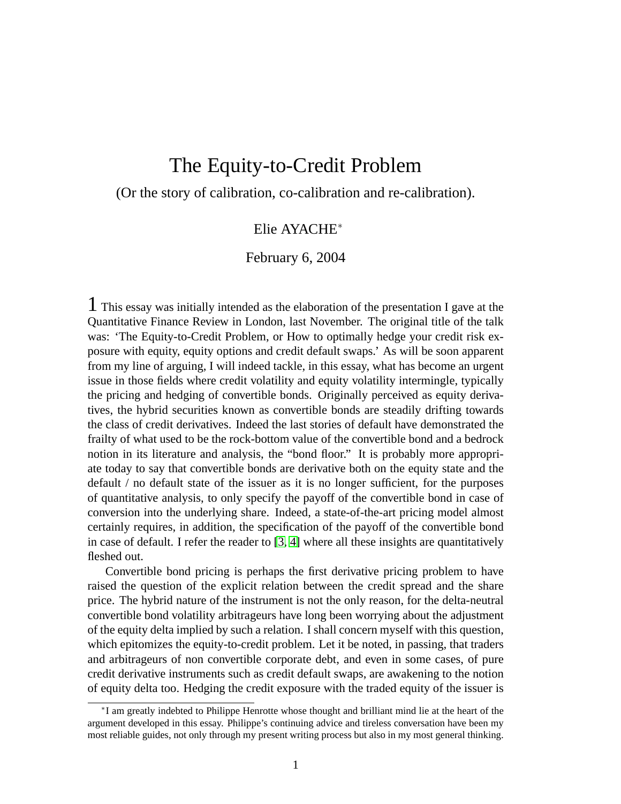# The Equity-to-Credit Problem

(Or the story of calibration, co-calibration and re-calibration).

### Elie AYACHE<sup>∗</sup>

#### February 6, 2004

1 This essay was initially intended as the elaboration of the presentation I gave at the Quantitative Finance Review in London, last November. The original title of the talk was: 'The Equity-to-Credit Problem, or How to optimally hedge your credit risk exposure with equity, equity options and credit default swaps.' As will be soon apparent from my line of arguing, I will indeed tackle, in this essay, what has become an urgent issue in those fields where credit volatility and equity volatility intermingle, typically the pricing and hedging of convertible bonds. Originally perceived as equity derivatives, the hybrid securities known as convertible bonds are steadily drifting towards the class of credit derivatives. Indeed the last stories of default have demonstrated the frailty of what used to be the rock-bottom value of the convertible bond and a bedrock notion in its literature and analysis, the "bond floor." It is probably more appropriate today to say that convertible bonds are derivative both on the equity state and the default / no default state of the issuer as it is no longer sufficient, for the purposes of quantitative analysis, to only specify the payoff of the convertible bond in case of conversion into the underlying share. Indeed, a state-of-the-art pricing model almost certainly requires, in addition, the specification of the payoff of the convertible bond in case of default. I refer the reader to [\[3,](#page-31-0) [4\]](#page-31-1) where all these insights are quantitatively fleshed out.

Convertible bond pricing is perhaps the first derivative pricing problem to have raised the question of the explicit relation between the credit spread and the share price. The hybrid nature of the instrument is not the only reason, for the delta-neutral convertible bond volatility arbitrageurs have long been worrying about the adjustment of the equity delta implied by such a relation. I shall concern myself with this question, which epitomizes the equity-to-credit problem. Let it be noted, in passing, that traders and arbitrageurs of non convertible corporate debt, and even in some cases, of pure credit derivative instruments such as credit default swaps, are awakening to the notion of equity delta too. Hedging the credit exposure with the traded equity of the issuer is

<sup>∗</sup> I am greatly indebted to Philippe Henrotte whose thought and brilliant mind lie at the heart of the argument developed in this essay. Philippe's continuing advice and tireless conversation have been my most reliable guides, not only through my present writing process but also in my most general thinking.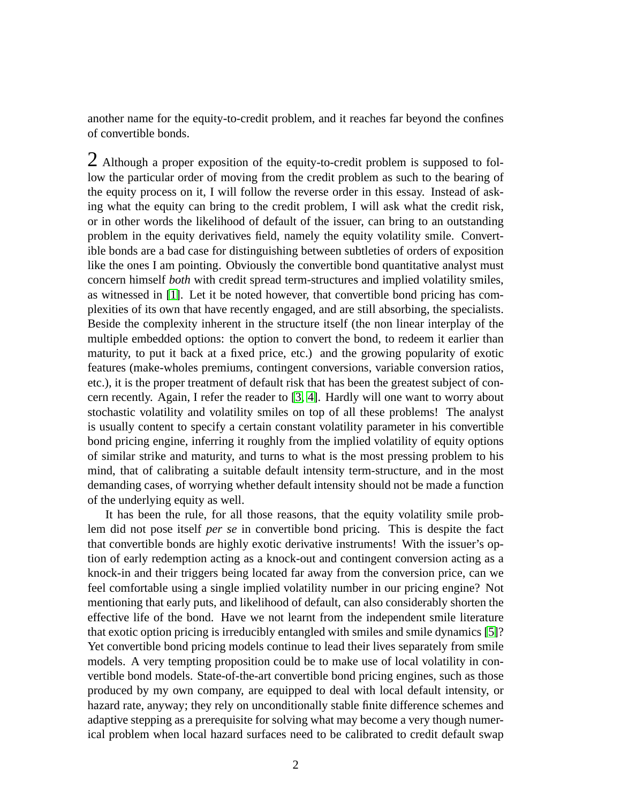another name for the equity-to-credit problem, and it reaches far beyond the confines of convertible bonds.

 $2$  Although a proper exposition of the equity-to-credit problem is supposed to follow the particular order of moving from the credit problem as such to the bearing of the equity process on it, I will follow the reverse order in this essay. Instead of asking what the equity can bring to the credit problem, I will ask what the credit risk, or in other words the likelihood of default of the issuer, can bring to an outstanding problem in the equity derivatives field, namely the equity volatility smile. Convertible bonds are a bad case for distinguishing between subtleties of orders of exposition like the ones I am pointing. Obviously the convertible bond quantitative analyst must concern himself *both* with credit spread term-structures and implied volatility smiles, as witnessed in [\[1\]](#page-31-2). Let it be noted however, that convertible bond pricing has complexities of its own that have recently engaged, and are still absorbing, the specialists. Beside the complexity inherent in the structure itself (the non linear interplay of the multiple embedded options: the option to convert the bond, to redeem it earlier than maturity, to put it back at a fixed price, etc.) and the growing popularity of exotic features (make-wholes premiums, contingent conversions, variable conversion ratios, etc.), it is the proper treatment of default risk that has been the greatest subject of concern recently. Again, I refer the reader to [\[3,](#page-31-0) [4\]](#page-31-1). Hardly will one want to worry about stochastic volatility and volatility smiles on top of all these problems! The analyst is usually content to specify a certain constant volatility parameter in his convertible bond pricing engine, inferring it roughly from the implied volatility of equity options of similar strike and maturity, and turns to what is the most pressing problem to his mind, that of calibrating a suitable default intensity term-structure, and in the most demanding cases, of worrying whether default intensity should not be made a function of the underlying equity as well.

It has been the rule, for all those reasons, that the equity volatility smile problem did not pose itself *per se* in convertible bond pricing. This is despite the fact that convertible bonds are highly exotic derivative instruments! With the issuer's option of early redemption acting as a knock-out and contingent conversion acting as a knock-in and their triggers being located far away from the conversion price, can we feel comfortable using a single implied volatility number in our pricing engine? Not mentioning that early puts, and likelihood of default, can also considerably shorten the effective life of the bond. Have we not learnt from the independent smile literature that exotic option pricing is irreducibly entangled with smiles and smile dynamics [\[5\]](#page-31-3)? Yet convertible bond pricing models continue to lead their lives separately from smile models. A very tempting proposition could be to make use of local volatility in convertible bond models. State-of-the-art convertible bond pricing engines, such as those produced by my own company, are equipped to deal with local default intensity, or hazard rate, anyway; they rely on unconditionally stable finite difference schemes and adaptive stepping as a prerequisite for solving what may become a very though numerical problem when local hazard surfaces need to be calibrated to credit default swap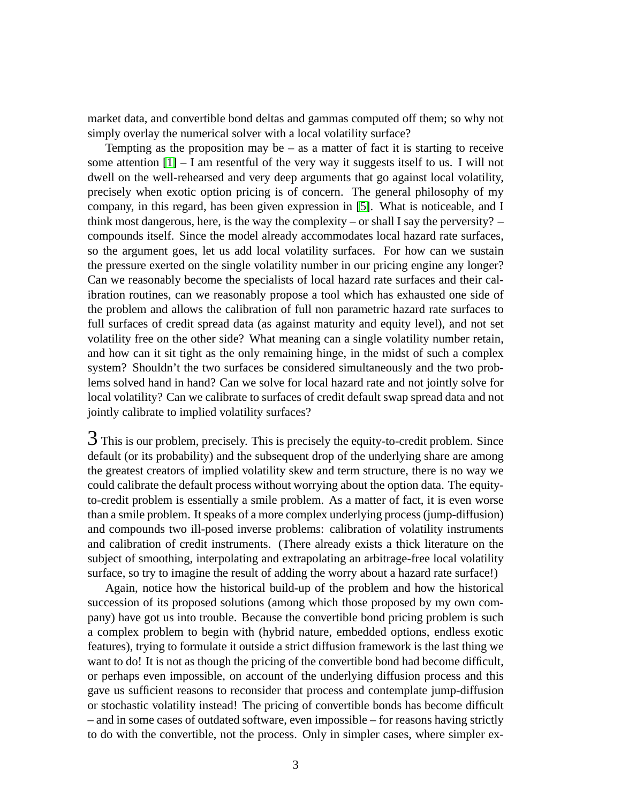market data, and convertible bond deltas and gammas computed off them; so why not simply overlay the numerical solver with a local volatility surface?

Tempting as the proposition may be  $-$  as a matter of fact it is starting to receive some attention  $[1]$  – I am resentful of the very way it suggests itself to us. I will not dwell on the well-rehearsed and very deep arguments that go against local volatility, precisely when exotic option pricing is of concern. The general philosophy of my company, in this regard, has been given expression in [\[5\]](#page-31-3). What is noticeable, and I think most dangerous, here, is the way the complexity – or shall I say the perversity?  $$ compounds itself. Since the model already accommodates local hazard rate surfaces, so the argument goes, let us add local volatility surfaces. For how can we sustain the pressure exerted on the single volatility number in our pricing engine any longer? Can we reasonably become the specialists of local hazard rate surfaces and their calibration routines, can we reasonably propose a tool which has exhausted one side of the problem and allows the calibration of full non parametric hazard rate surfaces to full surfaces of credit spread data (as against maturity and equity level), and not set volatility free on the other side? What meaning can a single volatility number retain, and how can it sit tight as the only remaining hinge, in the midst of such a complex system? Shouldn't the two surfaces be considered simultaneously and the two problems solved hand in hand? Can we solve for local hazard rate and not jointly solve for local volatility? Can we calibrate to surfaces of credit default swap spread data and not jointly calibrate to implied volatility surfaces?

 $3$  This is our problem, precisely. This is precisely the equity-to-credit problem. Since default (or its probability) and the subsequent drop of the underlying share are among the greatest creators of implied volatility skew and term structure, there is no way we could calibrate the default process without worrying about the option data. The equityto-credit problem is essentially a smile problem. As a matter of fact, it is even worse than a smile problem. It speaks of a more complex underlying process (jump-diffusion) and compounds two ill-posed inverse problems: calibration of volatility instruments and calibration of credit instruments. (There already exists a thick literature on the subject of smoothing, interpolating and extrapolating an arbitrage-free local volatility surface, so try to imagine the result of adding the worry about a hazard rate surface!)

Again, notice how the historical build-up of the problem and how the historical succession of its proposed solutions (among which those proposed by my own company) have got us into trouble. Because the convertible bond pricing problem is such a complex problem to begin with (hybrid nature, embedded options, endless exotic features), trying to formulate it outside a strict diffusion framework is the last thing we want to do! It is not as though the pricing of the convertible bond had become difficult, or perhaps even impossible, on account of the underlying diffusion process and this gave us sufficient reasons to reconsider that process and contemplate jump-diffusion or stochastic volatility instead! The pricing of convertible bonds has become difficult – and in some cases of outdated software, even impossible – for reasons having strictly to do with the convertible, not the process. Only in simpler cases, where simpler ex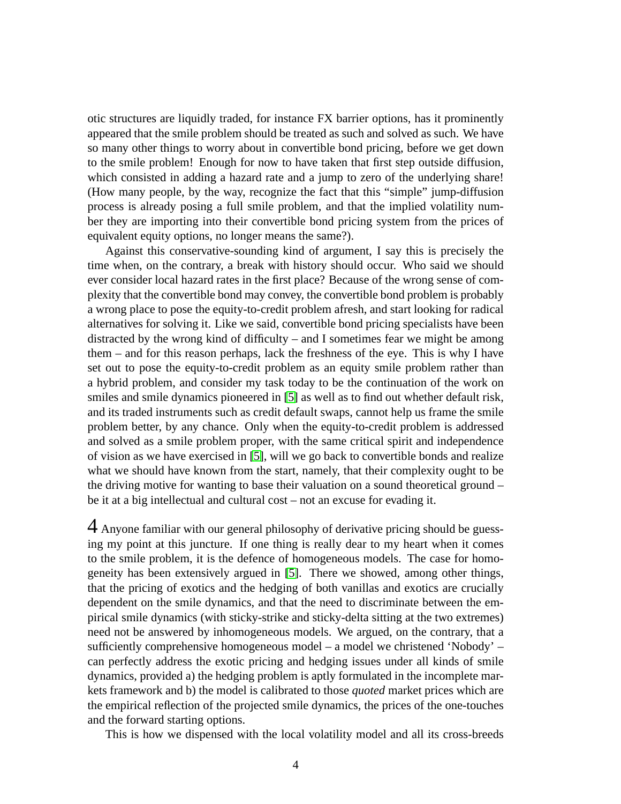otic structures are liquidly traded, for instance FX barrier options, has it prominently appeared that the smile problem should be treated as such and solved as such. We have so many other things to worry about in convertible bond pricing, before we get down to the smile problem! Enough for now to have taken that first step outside diffusion, which consisted in adding a hazard rate and a jump to zero of the underlying share! (How many people, by the way, recognize the fact that this "simple" jump-diffusion process is already posing a full smile problem, and that the implied volatility number they are importing into their convertible bond pricing system from the prices of equivalent equity options, no longer means the same?).

Against this conservative-sounding kind of argument, I say this is precisely the time when, on the contrary, a break with history should occur. Who said we should ever consider local hazard rates in the first place? Because of the wrong sense of complexity that the convertible bond may convey, the convertible bond problem is probably a wrong place to pose the equity-to-credit problem afresh, and start looking for radical alternatives for solving it. Like we said, convertible bond pricing specialists have been distracted by the wrong kind of difficulty – and I sometimes fear we might be among them – and for this reason perhaps, lack the freshness of the eye. This is why I have set out to pose the equity-to-credit problem as an equity smile problem rather than a hybrid problem, and consider my task today to be the continuation of the work on smiles and smile dynamics pioneered in [\[5\]](#page-31-3) as well as to find out whether default risk, and its traded instruments such as credit default swaps, cannot help us frame the smile problem better, by any chance. Only when the equity-to-credit problem is addressed and solved as a smile problem proper, with the same critical spirit and independence of vision as we have exercised in [\[5\]](#page-31-3), will we go back to convertible bonds and realize what we should have known from the start, namely, that their complexity ought to be the driving motive for wanting to base their valuation on a sound theoretical ground – be it at a big intellectual and cultural cost – not an excuse for evading it.

4 Anyone familiar with our general philosophy of derivative pricing should be guessing my point at this juncture. If one thing is really dear to my heart when it comes to the smile problem, it is the defence of homogeneous models. The case for homogeneity has been extensively argued in [\[5\]](#page-31-3). There we showed, among other things, that the pricing of exotics and the hedging of both vanillas and exotics are crucially dependent on the smile dynamics, and that the need to discriminate between the empirical smile dynamics (with sticky-strike and sticky-delta sitting at the two extremes) need not be answered by inhomogeneous models. We argued, on the contrary, that a sufficiently comprehensive homogeneous model – a model we christened 'Nobody' – can perfectly address the exotic pricing and hedging issues under all kinds of smile dynamics, provided a) the hedging problem is aptly formulated in the incomplete markets framework and b) the model is calibrated to those *quoted* market prices which are the empirical reflection of the projected smile dynamics, the prices of the one-touches and the forward starting options.

This is how we dispensed with the local volatility model and all its cross-breeds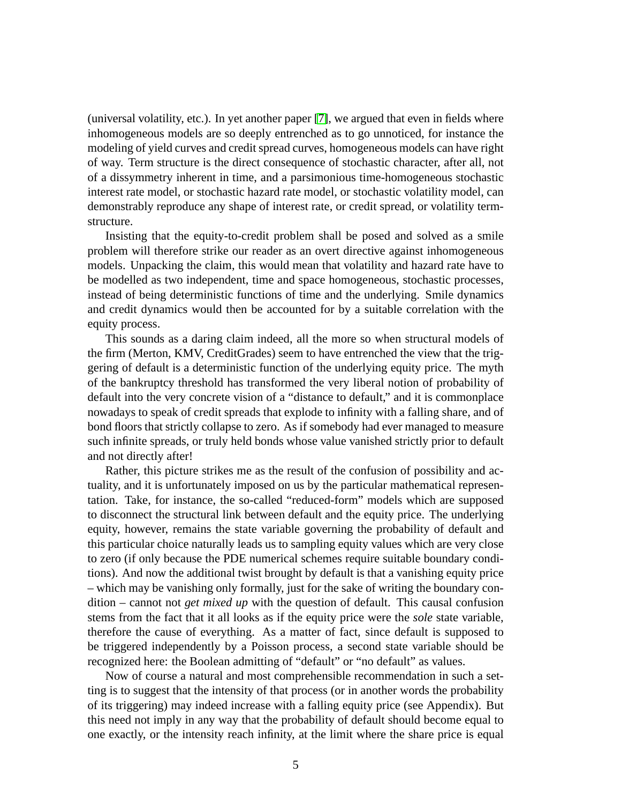(universal volatility, etc.). In yet another paper [\[7\]](#page-31-4), we argued that even in fields where inhomogeneous models are so deeply entrenched as to go unnoticed, for instance the modeling of yield curves and credit spread curves, homogeneous models can have right of way. Term structure is the direct consequence of stochastic character, after all, not of a dissymmetry inherent in time, and a parsimonious time-homogeneous stochastic interest rate model, or stochastic hazard rate model, or stochastic volatility model, can demonstrably reproduce any shape of interest rate, or credit spread, or volatility termstructure.

Insisting that the equity-to-credit problem shall be posed and solved as a smile problem will therefore strike our reader as an overt directive against inhomogeneous models. Unpacking the claim, this would mean that volatility and hazard rate have to be modelled as two independent, time and space homogeneous, stochastic processes, instead of being deterministic functions of time and the underlying. Smile dynamics and credit dynamics would then be accounted for by a suitable correlation with the equity process.

This sounds as a daring claim indeed, all the more so when structural models of the firm (Merton, KMV, CreditGrades) seem to have entrenched the view that the triggering of default is a deterministic function of the underlying equity price. The myth of the bankruptcy threshold has transformed the very liberal notion of probability of default into the very concrete vision of a "distance to default," and it is commonplace nowadays to speak of credit spreads that explode to infinity with a falling share, and of bond floors that strictly collapse to zero. As if somebody had ever managed to measure such infinite spreads, or truly held bonds whose value vanished strictly prior to default and not directly after!

Rather, this picture strikes me as the result of the confusion of possibility and actuality, and it is unfortunately imposed on us by the particular mathematical representation. Take, for instance, the so-called "reduced-form" models which are supposed to disconnect the structural link between default and the equity price. The underlying equity, however, remains the state variable governing the probability of default and this particular choice naturally leads us to sampling equity values which are very close to zero (if only because the PDE numerical schemes require suitable boundary conditions). And now the additional twist brought by default is that a vanishing equity price – which may be vanishing only formally, just for the sake of writing the boundary condition – cannot not *get mixed up* with the question of default. This causal confusion stems from the fact that it all looks as if the equity price were the *sole* state variable, therefore the cause of everything. As a matter of fact, since default is supposed to be triggered independently by a Poisson process, a second state variable should be recognized here: the Boolean admitting of "default" or "no default" as values.

Now of course a natural and most comprehensible recommendation in such a setting is to suggest that the intensity of that process (or in another words the probability of its triggering) may indeed increase with a falling equity price (see Appendix). But this need not imply in any way that the probability of default should become equal to one exactly, or the intensity reach infinity, at the limit where the share price is equal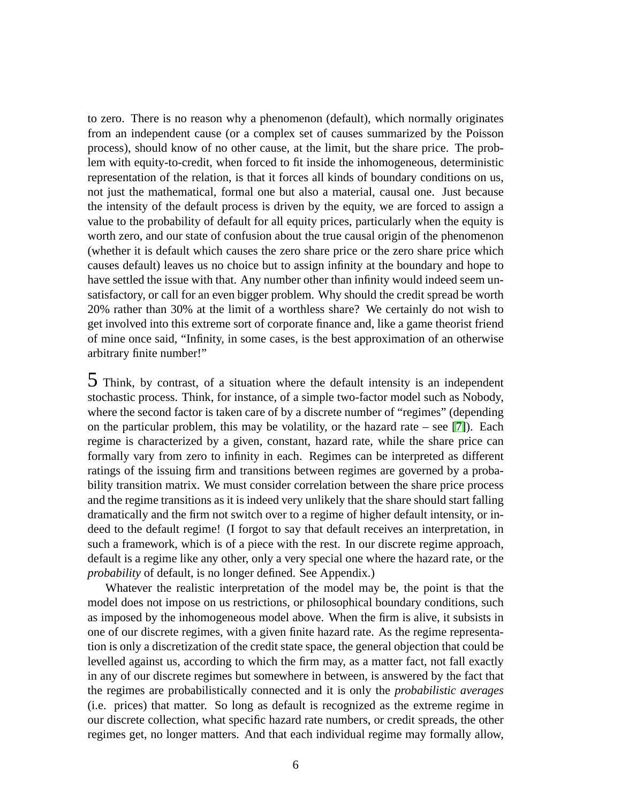to zero. There is no reason why a phenomenon (default), which normally originates from an independent cause (or a complex set of causes summarized by the Poisson process), should know of no other cause, at the limit, but the share price. The problem with equity-to-credit, when forced to fit inside the inhomogeneous, deterministic representation of the relation, is that it forces all kinds of boundary conditions on us, not just the mathematical, formal one but also a material, causal one. Just because the intensity of the default process is driven by the equity, we are forced to assign a value to the probability of default for all equity prices, particularly when the equity is worth zero, and our state of confusion about the true causal origin of the phenomenon (whether it is default which causes the zero share price or the zero share price which causes default) leaves us no choice but to assign infinity at the boundary and hope to have settled the issue with that. Any number other than infinity would indeed seem unsatisfactory, or call for an even bigger problem. Why should the credit spread be worth 20% rather than 30% at the limit of a worthless share? We certainly do not wish to get involved into this extreme sort of corporate finance and, like a game theorist friend of mine once said, "Infinity, in some cases, is the best approximation of an otherwise arbitrary finite number!"

 $5$  Think, by contrast, of a situation where the default intensity is an independent stochastic process. Think, for instance, of a simple two-factor model such as Nobody, where the second factor is taken care of by a discrete number of "regimes" (depending on the particular problem, this may be volatility, or the hazard rate – see [\[7\]](#page-31-4)). Each regime is characterized by a given, constant, hazard rate, while the share price can formally vary from zero to infinity in each. Regimes can be interpreted as different ratings of the issuing firm and transitions between regimes are governed by a probability transition matrix. We must consider correlation between the share price process and the regime transitions as it is indeed very unlikely that the share should start falling dramatically and the firm not switch over to a regime of higher default intensity, or indeed to the default regime! (I forgot to say that default receives an interpretation, in such a framework, which is of a piece with the rest. In our discrete regime approach, default is a regime like any other, only a very special one where the hazard rate, or the *probability* of default, is no longer defined. See Appendix.)

Whatever the realistic interpretation of the model may be, the point is that the model does not impose on us restrictions, or philosophical boundary conditions, such as imposed by the inhomogeneous model above. When the firm is alive, it subsists in one of our discrete regimes, with a given finite hazard rate. As the regime representation is only a discretization of the credit state space, the general objection that could be levelled against us, according to which the firm may, as a matter fact, not fall exactly in any of our discrete regimes but somewhere in between, is answered by the fact that the regimes are probabilistically connected and it is only the *probabilistic averages* (i.e. prices) that matter. So long as default is recognized as the extreme regime in our discrete collection, what specific hazard rate numbers, or credit spreads, the other regimes get, no longer matters. And that each individual regime may formally allow,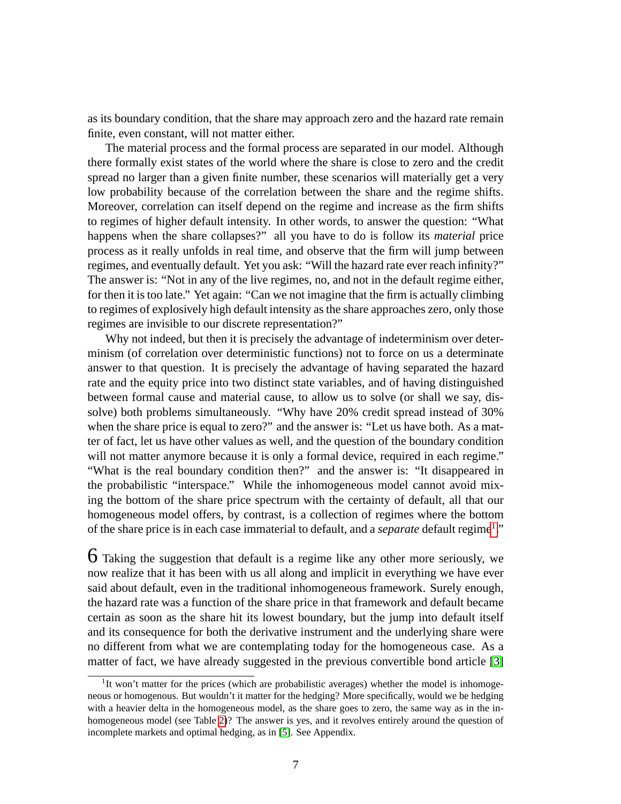as its boundary condition, that the share may approach zero and the hazard rate remain finite, even constant, will not matter either.

The material process and the formal process are separated in our model. Although there formally exist states of the world where the share is close to zero and the credit spread no larger than a given finite number, these scenarios will materially get a very low probability because of the correlation between the share and the regime shifts. Moreover, correlation can itself depend on the regime and increase as the firm shifts to regimes of higher default intensity. In other words, to answer the question: "What happens when the share collapses?" all you have to do is follow its *material* price process as it really unfolds in real time, and observe that the firm will jump between regimes, and eventually default. Yet you ask: "Will the hazard rate ever reach infinity?" The answer is: "Not in any of the live regimes, no, and not in the default regime either, for then it is too late." Yet again: "Can we not imagine that the firm is actually climbing to regimes of explosively high default intensity as the share approaches zero, only those regimes are invisible to our discrete representation?"

Why not indeed, but then it is precisely the advantage of indeterminism over determinism (of correlation over deterministic functions) not to force on us a determinate answer to that question. It is precisely the advantage of having separated the hazard rate and the equity price into two distinct state variables, and of having distinguished between formal cause and material cause, to allow us to solve (or shall we say, dissolve) both problems simultaneously. "Why have 20% credit spread instead of 30% when the share price is equal to zero?" and the answer is: "Let us have both. As a matter of fact, let us have other values as well, and the question of the boundary condition will not matter anymore because it is only a formal device, required in each regime." "What is the real boundary condition then?" and the answer is: "It disappeared in the probabilistic "interspace." While the inhomogeneous model cannot avoid mixing the bottom of the share price spectrum with the certainty of default, all that our homogeneous model offers, by contrast, is a collection of regimes where the bottom of the share price is in each case immaterial to default, and a *separate* default regime<sup>[1](#page-6-0)</sup>."

6 Taking the suggestion that default is a regime like any other more seriously, we now realize that it has been with us all along and implicit in everything we have ever said about default, even in the traditional inhomogeneous framework. Surely enough, the hazard rate was a function of the share price in that framework and default became certain as soon as the share hit its lowest boundary, but the jump into default itself and its consequence for both the derivative instrument and the underlying share were no different from what we are contemplating today for the homogeneous case. As a matter of fact, we have already suggested in the previous convertible bond article [\[3\]](#page-31-0)

<span id="page-6-0"></span><sup>&</sup>lt;sup>1</sup>It won't matter for the prices (which are probabilistic averages) whether the model is inhomogeneous or homogenous. But wouldn't it matter for the hedging? More specifically, would we be hedging with a heavier delta in the homogeneous model, as the share goes to zero, the same way as in the inhomogeneous model (see Table [2\)](#page-25-0)? The answer is yes, and it revolves entirely around the question of incomplete markets and optimal hedging, as in [\[5\]](#page-31-3). See Appendix.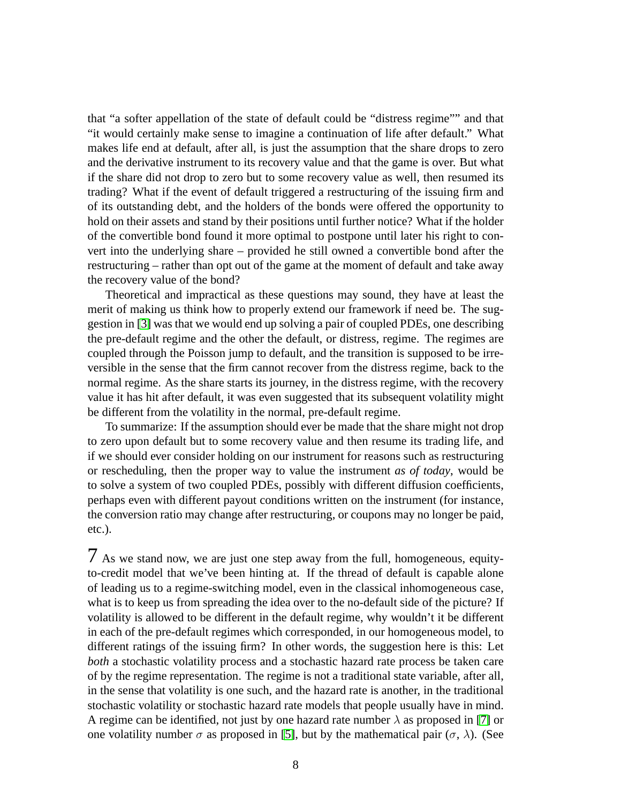that "a softer appellation of the state of default could be "distress regime"" and that "it would certainly make sense to imagine a continuation of life after default." What makes life end at default, after all, is just the assumption that the share drops to zero and the derivative instrument to its recovery value and that the game is over. But what if the share did not drop to zero but to some recovery value as well, then resumed its trading? What if the event of default triggered a restructuring of the issuing firm and of its outstanding debt, and the holders of the bonds were offered the opportunity to hold on their assets and stand by their positions until further notice? What if the holder of the convertible bond found it more optimal to postpone until later his right to convert into the underlying share – provided he still owned a convertible bond after the restructuring – rather than opt out of the game at the moment of default and take away the recovery value of the bond?

Theoretical and impractical as these questions may sound, they have at least the merit of making us think how to properly extend our framework if need be. The suggestion in [\[3\]](#page-31-0) was that we would end up solving a pair of coupled PDEs, one describing the pre-default regime and the other the default, or distress, regime. The regimes are coupled through the Poisson jump to default, and the transition is supposed to be irreversible in the sense that the firm cannot recover from the distress regime, back to the normal regime. As the share starts its journey, in the distress regime, with the recovery value it has hit after default, it was even suggested that its subsequent volatility might be different from the volatility in the normal, pre-default regime.

To summarize: If the assumption should ever be made that the share might not drop to zero upon default but to some recovery value and then resume its trading life, and if we should ever consider holding on our instrument for reasons such as restructuring or rescheduling, then the proper way to value the instrument *as of today*, would be to solve a system of two coupled PDEs, possibly with different diffusion coefficients, perhaps even with different payout conditions written on the instrument (for instance, the conversion ratio may change after restructuring, or coupons may no longer be paid, etc.).

7 As we stand now, we are just one step away from the full, homogeneous, equityto-credit model that we've been hinting at. If the thread of default is capable alone of leading us to a regime-switching model, even in the classical inhomogeneous case, what is to keep us from spreading the idea over to the no-default side of the picture? If volatility is allowed to be different in the default regime, why wouldn't it be different in each of the pre-default regimes which corresponded, in our homogeneous model, to different ratings of the issuing firm? In other words, the suggestion here is this: Let *both* a stochastic volatility process and a stochastic hazard rate process be taken care of by the regime representation. The regime is not a traditional state variable, after all, in the sense that volatility is one such, and the hazard rate is another, in the traditional stochastic volatility or stochastic hazard rate models that people usually have in mind. A regime can be identified, not just by one hazard rate number  $\lambda$  as proposed in [\[7\]](#page-31-4) or one volatility number  $\sigma$  as proposed in [\[5\]](#page-31-3), but by the mathematical pair  $(\sigma, \lambda)$ . (See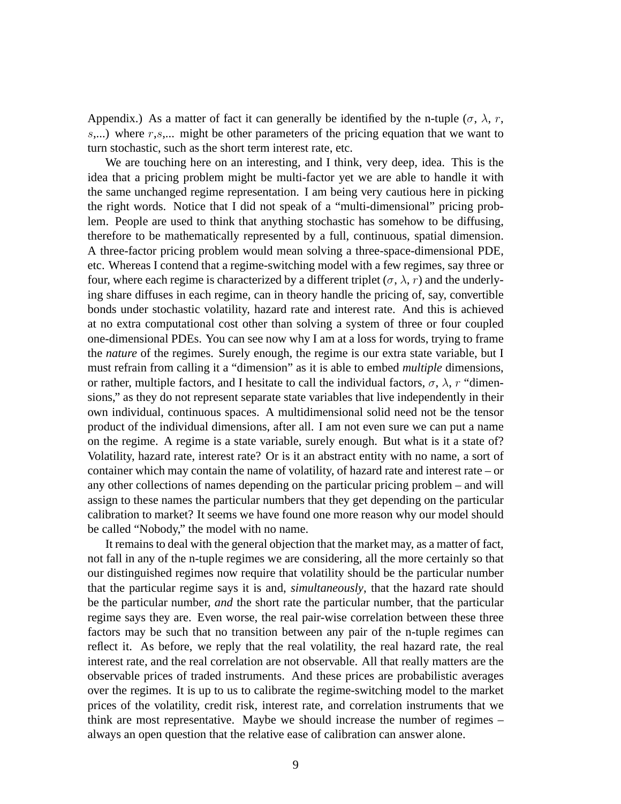Appendix.) As a matter of fact it can generally be identified by the n-tuple ( $\sigma$ ,  $\lambda$ ,  $r$ ,  $s$ ,...) where  $r, s, \ldots$  might be other parameters of the pricing equation that we want to turn stochastic, such as the short term interest rate, etc.

We are touching here on an interesting, and I think, very deep, idea. This is the idea that a pricing problem might be multi-factor yet we are able to handle it with the same unchanged regime representation. I am being very cautious here in picking the right words. Notice that I did not speak of a "multi-dimensional" pricing problem. People are used to think that anything stochastic has somehow to be diffusing, therefore to be mathematically represented by a full, continuous, spatial dimension. A three-factor pricing problem would mean solving a three-space-dimensional PDE, etc. Whereas I contend that a regime-switching model with a few regimes, say three or four, where each regime is characterized by a different triplet ( $\sigma$ ,  $\lambda$ ,  $r$ ) and the underlying share diffuses in each regime, can in theory handle the pricing of, say, convertible bonds under stochastic volatility, hazard rate and interest rate. And this is achieved at no extra computational cost other than solving a system of three or four coupled one-dimensional PDEs. You can see now why I am at a loss for words, trying to frame the *nature* of the regimes. Surely enough, the regime is our extra state variable, but I must refrain from calling it a "dimension" as it is able to embed *multiple* dimensions, or rather, multiple factors, and I hesitate to call the individual factors,  $\sigma$ ,  $\lambda$ , r "dimensions," as they do not represent separate state variables that live independently in their own individual, continuous spaces. A multidimensional solid need not be the tensor product of the individual dimensions, after all. I am not even sure we can put a name on the regime. A regime is a state variable, surely enough. But what is it a state of? Volatility, hazard rate, interest rate? Or is it an abstract entity with no name, a sort of container which may contain the name of volatility, of hazard rate and interest rate – or any other collections of names depending on the particular pricing problem – and will assign to these names the particular numbers that they get depending on the particular calibration to market? It seems we have found one more reason why our model should be called "Nobody," the model with no name.

It remains to deal with the general objection that the market may, as a matter of fact, not fall in any of the n-tuple regimes we are considering, all the more certainly so that our distinguished regimes now require that volatility should be the particular number that the particular regime says it is and, *simultaneously*, that the hazard rate should be the particular number, *and* the short rate the particular number, that the particular regime says they are. Even worse, the real pair-wise correlation between these three factors may be such that no transition between any pair of the n-tuple regimes can reflect it. As before, we reply that the real volatility, the real hazard rate, the real interest rate, and the real correlation are not observable. All that really matters are the observable prices of traded instruments. And these prices are probabilistic averages over the regimes. It is up to us to calibrate the regime-switching model to the market prices of the volatility, credit risk, interest rate, and correlation instruments that we think are most representative. Maybe we should increase the number of regimes – always an open question that the relative ease of calibration can answer alone.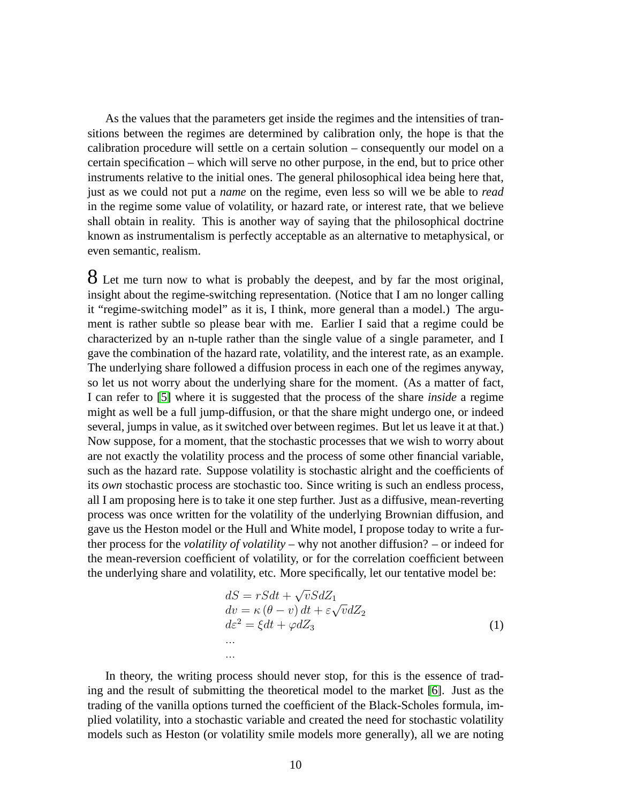As the values that the parameters get inside the regimes and the intensities of transitions between the regimes are determined by calibration only, the hope is that the calibration procedure will settle on a certain solution – consequently our model on a certain specification – which will serve no other purpose, in the end, but to price other instruments relative to the initial ones. The general philosophical idea being here that, just as we could not put a *name* on the regime, even less so will we be able to *read* in the regime some value of volatility, or hazard rate, or interest rate, that we believe shall obtain in reality. This is another way of saying that the philosophical doctrine known as instrumentalism is perfectly acceptable as an alternative to metaphysical, or even semantic, realism.

8 Let me turn now to what is probably the deepest, and by far the most original, insight about the regime-switching representation. (Notice that I am no longer calling it "regime-switching model" as it is, I think, more general than a model.) The argument is rather subtle so please bear with me. Earlier I said that a regime could be characterized by an n-tuple rather than the single value of a single parameter, and I gave the combination of the hazard rate, volatility, and the interest rate, as an example. The underlying share followed a diffusion process in each one of the regimes anyway, so let us not worry about the underlying share for the moment. (As a matter of fact, I can refer to [\[5\]](#page-31-3) where it is suggested that the process of the share *inside* a regime might as well be a full jump-diffusion, or that the share might undergo one, or indeed several, jumps in value, as it switched over between regimes. But let us leave it at that.) Now suppose, for a moment, that the stochastic processes that we wish to worry about are not exactly the volatility process and the process of some other financial variable, such as the hazard rate. Suppose volatility is stochastic alright and the coefficients of its *own* stochastic process are stochastic too. Since writing is such an endless process, all I am proposing here is to take it one step further. Just as a diffusive, mean-reverting process was once written for the volatility of the underlying Brownian diffusion, and gave us the Heston model or the Hull and White model, I propose today to write a further process for the *volatility of volatility* – why not another diffusion? – or indeed for the mean-reversion coefficient of volatility, or for the correlation coefficient between the underlying share and volatility, etc. More specifically, let our tentative model be:

$$
dS = rSdt + \sqrt{v}SdZ_1
$$
  
\n
$$
dv = \kappa (\theta - v) dt + \varepsilon \sqrt{v} dZ_2
$$
  
\n
$$
d\varepsilon^2 = \xi dt + \varphi dZ_3
$$
\n(1)

In theory, the writing process should never stop, for this is the essence of trading and the result of submitting the theoretical model to the market [\[6\]](#page-31-5). Just as the trading of the vanilla options turned the coefficient of the Black-Scholes formula, implied volatility, into a stochastic variable and created the need for stochastic volatility models such as Heston (or volatility smile models more generally), all we are noting

...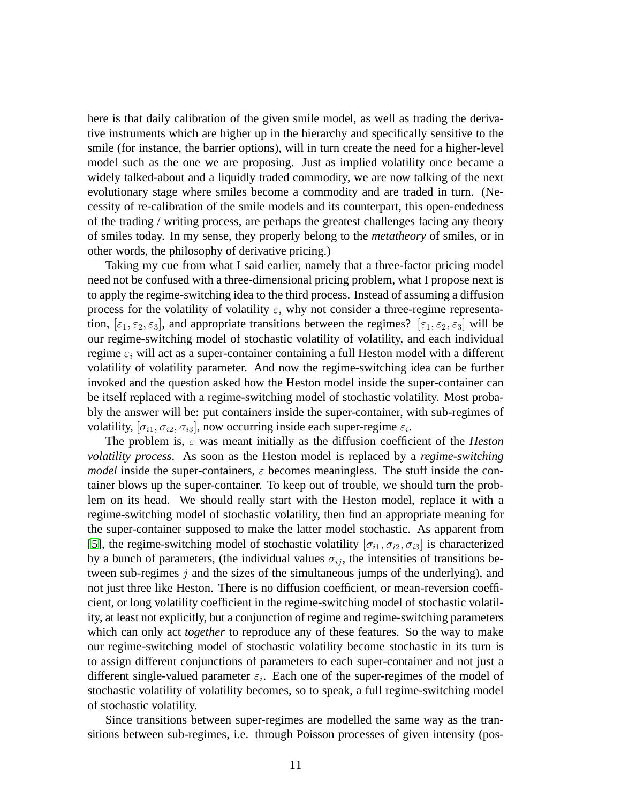here is that daily calibration of the given smile model, as well as trading the derivative instruments which are higher up in the hierarchy and specifically sensitive to the smile (for instance, the barrier options), will in turn create the need for a higher-level model such as the one we are proposing. Just as implied volatility once became a widely talked-about and a liquidly traded commodity, we are now talking of the next evolutionary stage where smiles become a commodity and are traded in turn. (Necessity of re-calibration of the smile models and its counterpart, this open-endedness of the trading / writing process, are perhaps the greatest challenges facing any theory of smiles today. In my sense, they properly belong to the *metatheory* of smiles, or in other words, the philosophy of derivative pricing.)

Taking my cue from what I said earlier, namely that a three-factor pricing model need not be confused with a three-dimensional pricing problem, what I propose next is to apply the regime-switching idea to the third process. Instead of assuming a diffusion process for the volatility of volatility  $\varepsilon$ , why not consider a three-regime representation,  $[\varepsilon_1, \varepsilon_2, \varepsilon_3]$ , and appropriate transitions between the regimes?  $[\varepsilon_1, \varepsilon_2, \varepsilon_3]$  will be our regime-switching model of stochastic volatility of volatility, and each individual regime  $\varepsilon_i$  will act as a super-container containing a full Heston model with a different volatility of volatility parameter. And now the regime-switching idea can be further invoked and the question asked how the Heston model inside the super-container can be itself replaced with a regime-switching model of stochastic volatility. Most probably the answer will be: put containers inside the super-container, with sub-regimes of volatility,  $[\sigma_{i1}, \sigma_{i2}, \sigma_{i3}]$ , now occurring inside each super-regime  $\varepsilon_i$ .

The problem is, ε was meant initially as the diffusion coefficient of the *Heston volatility process*. As soon as the Heston model is replaced by a *regime-switching model* inside the super-containers,  $\varepsilon$  becomes meaningless. The stuff inside the container blows up the super-container. To keep out of trouble, we should turn the problem on its head. We should really start with the Heston model, replace it with a regime-switching model of stochastic volatility, then find an appropriate meaning for the super-container supposed to make the latter model stochastic. As apparent from [\[5\]](#page-31-3), the regime-switching model of stochastic volatility  $[\sigma_{i1}, \sigma_{i2}, \sigma_{i3}]$  is characterized by a bunch of parameters, (the individual values  $\sigma_{ij}$ , the intensities of transitions between sub-regimes j and the sizes of the simultaneous jumps of the underlying), and not just three like Heston. There is no diffusion coefficient, or mean-reversion coefficient, or long volatility coefficient in the regime-switching model of stochastic volatility, at least not explicitly, but a conjunction of regime and regime-switching parameters which can only act *together* to reproduce any of these features. So the way to make our regime-switching model of stochastic volatility become stochastic in its turn is to assign different conjunctions of parameters to each super-container and not just a different single-valued parameter  $\varepsilon_i$ . Each one of the super-regimes of the model of stochastic volatility of volatility becomes, so to speak, a full regime-switching model of stochastic volatility.

Since transitions between super-regimes are modelled the same way as the transitions between sub-regimes, i.e. through Poisson processes of given intensity (pos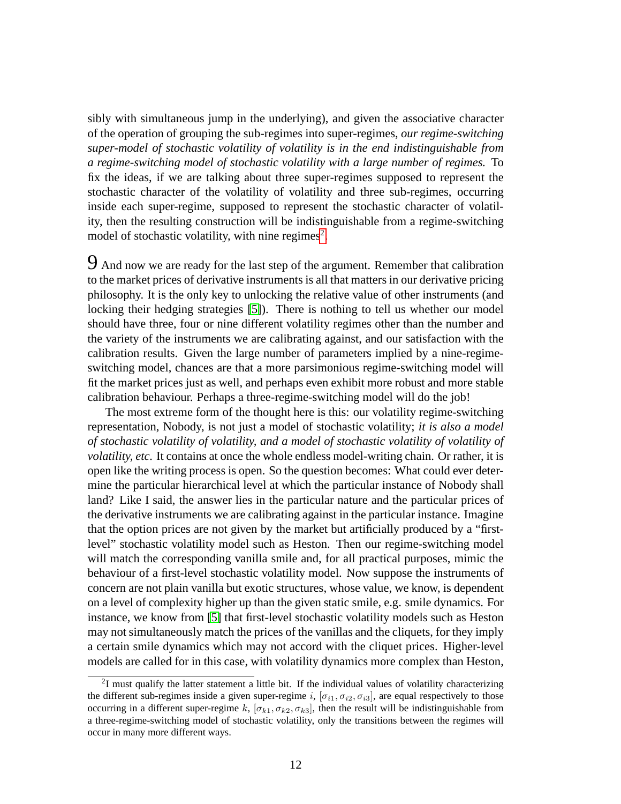sibly with simultaneous jump in the underlying), and given the associative character of the operation of grouping the sub-regimes into super-regimes, *our regime-switching super-model of stochastic volatility of volatility is in the end indistinguishable from a regime-switching model of stochastic volatility with a large number of regimes.* To fix the ideas, if we are talking about three super-regimes supposed to represent the stochastic character of the volatility of volatility and three sub-regimes, occurring inside each super-regime, supposed to represent the stochastic character of volatility, then the resulting construction will be indistinguishable from a regime-switching model of stochastic volatility, with nine regimes<sup>[2](#page-11-0)</sup>.

9 And now we are ready for the last step of the argument. Remember that calibration to the market prices of derivative instruments is all that matters in our derivative pricing philosophy. It is the only key to unlocking the relative value of other instruments (and locking their hedging strategies [\[5\]](#page-31-3)). There is nothing to tell us whether our model should have three, four or nine different volatility regimes other than the number and the variety of the instruments we are calibrating against, and our satisfaction with the calibration results. Given the large number of parameters implied by a nine-regimeswitching model, chances are that a more parsimonious regime-switching model will fit the market prices just as well, and perhaps even exhibit more robust and more stable calibration behaviour. Perhaps a three-regime-switching model will do the job!

The most extreme form of the thought here is this: our volatility regime-switching representation, Nobody, is not just a model of stochastic volatility; *it is also a model of stochastic volatility of volatility, and a model of stochastic volatility of volatility of volatility, etc.* It contains at once the whole endless model-writing chain. Or rather, it is open like the writing process is open. So the question becomes: What could ever determine the particular hierarchical level at which the particular instance of Nobody shall land? Like I said, the answer lies in the particular nature and the particular prices of the derivative instruments we are calibrating against in the particular instance. Imagine that the option prices are not given by the market but artificially produced by a "firstlevel" stochastic volatility model such as Heston. Then our regime-switching model will match the corresponding vanilla smile and, for all practical purposes, mimic the behaviour of a first-level stochastic volatility model. Now suppose the instruments of concern are not plain vanilla but exotic structures, whose value, we know, is dependent on a level of complexity higher up than the given static smile, e.g. smile dynamics. For instance, we know from [\[5\]](#page-31-3) that first-level stochastic volatility models such as Heston may not simultaneously match the prices of the vanillas and the cliquets, for they imply a certain smile dynamics which may not accord with the cliquet prices. Higher-level models are called for in this case, with volatility dynamics more complex than Heston,

<span id="page-11-0"></span> $2I$  must qualify the latter statement a little bit. If the individual values of volatility characterizing the different sub-regimes inside a given super-regime i,  $[\sigma_{i1}, \sigma_{i2}, \sigma_{i3}]$ , are equal respectively to those occurring in a different super-regime k,  $[\sigma_{k1}, \sigma_{k2}, \sigma_{k3}]$ , then the result will be indistinguishable from a three-regime-switching model of stochastic volatility, only the transitions between the regimes will occur in many more different ways.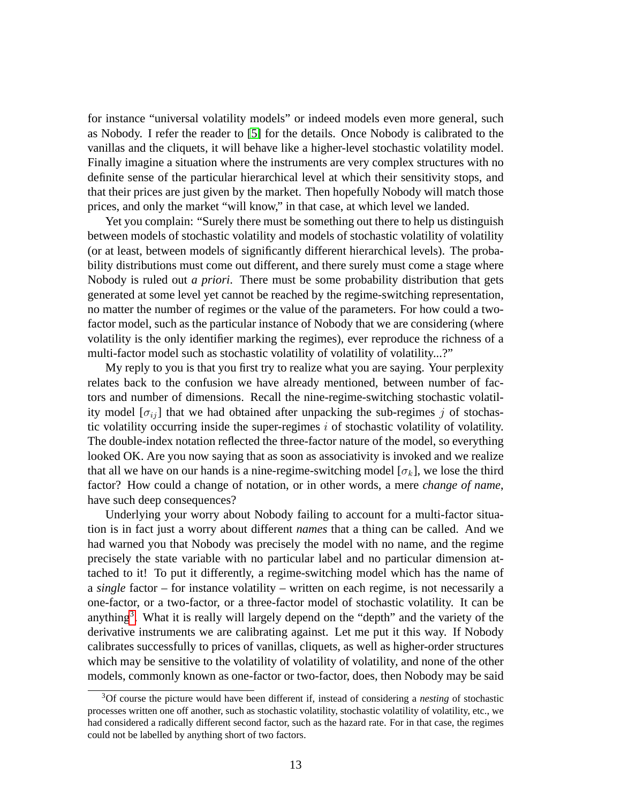for instance "universal volatility models" or indeed models even more general, such as Nobody. I refer the reader to [\[5\]](#page-31-3) for the details. Once Nobody is calibrated to the vanillas and the cliquets, it will behave like a higher-level stochastic volatility model. Finally imagine a situation where the instruments are very complex structures with no definite sense of the particular hierarchical level at which their sensitivity stops, and that their prices are just given by the market. Then hopefully Nobody will match those prices, and only the market "will know," in that case, at which level we landed.

Yet you complain: "Surely there must be something out there to help us distinguish between models of stochastic volatility and models of stochastic volatility of volatility (or at least, between models of significantly different hierarchical levels). The probability distributions must come out different, and there surely must come a stage where Nobody is ruled out *a priori*. There must be some probability distribution that gets generated at some level yet cannot be reached by the regime-switching representation, no matter the number of regimes or the value of the parameters. For how could a twofactor model, such as the particular instance of Nobody that we are considering (where volatility is the only identifier marking the regimes), ever reproduce the richness of a multi-factor model such as stochastic volatility of volatility of volatility...?"

My reply to you is that you first try to realize what you are saying. Your perplexity relates back to the confusion we have already mentioned, between number of factors and number of dimensions. Recall the nine-regime-switching stochastic volatility model  $[\sigma_{ij}]$  that we had obtained after unpacking the sub-regimes j of stochastic volatility occurring inside the super-regimes i of stochastic volatility of volatility. The double-index notation reflected the three-factor nature of the model, so everything looked OK. Are you now saying that as soon as associativity is invoked and we realize that all we have on our hands is a nine-regime-switching model  $[\sigma_k]$ , we lose the third factor? How could a change of notation, or in other words, a mere *change of name*, have such deep consequences?

Underlying your worry about Nobody failing to account for a multi-factor situation is in fact just a worry about different *names* that a thing can be called. And we had warned you that Nobody was precisely the model with no name, and the regime precisely the state variable with no particular label and no particular dimension attached to it! To put it differently, a regime-switching model which has the name of a *single* factor – for instance volatility – written on each regime, is not necessarily a one-factor, or a two-factor, or a three-factor model of stochastic volatility. It can be anything<sup>[3](#page-12-0)</sup>. What it is really will largely depend on the "depth" and the variety of the derivative instruments we are calibrating against. Let me put it this way. If Nobody calibrates successfully to prices of vanillas, cliquets, as well as higher-order structures which may be sensitive to the volatility of volatility of volatility, and none of the other models, commonly known as one-factor or two-factor, does, then Nobody may be said

<span id="page-12-0"></span><sup>3</sup>Of course the picture would have been different if, instead of considering a *nesting* of stochastic processes written one off another, such as stochastic volatility, stochastic volatility of volatility, etc., we had considered a radically different second factor, such as the hazard rate. For in that case, the regimes could not be labelled by anything short of two factors.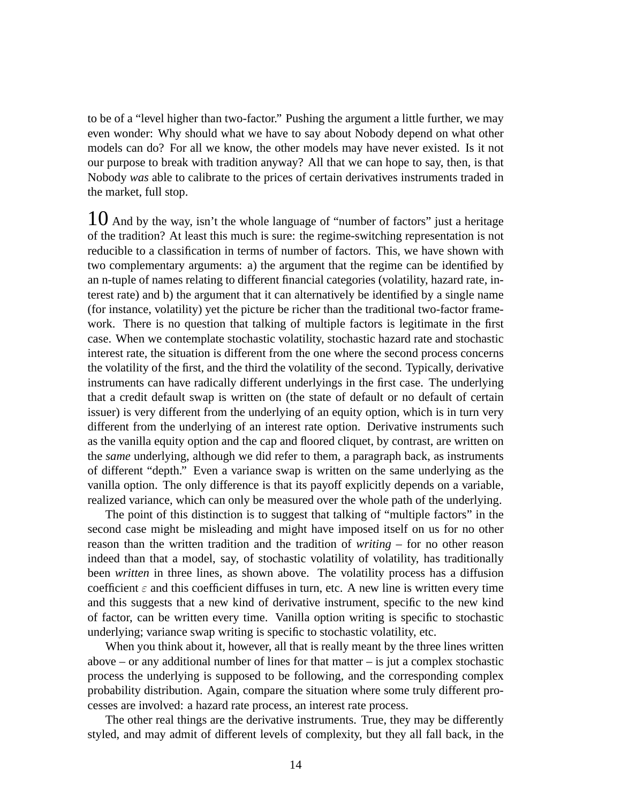to be of a "level higher than two-factor." Pushing the argument a little further, we may even wonder: Why should what we have to say about Nobody depend on what other models can do? For all we know, the other models may have never existed. Is it not our purpose to break with tradition anyway? All that we can hope to say, then, is that Nobody *was* able to calibrate to the prices of certain derivatives instruments traded in the market, full stop.

 $10$  And by the way, isn't the whole language of "number of factors" just a heritage of the tradition? At least this much is sure: the regime-switching representation is not reducible to a classification in terms of number of factors. This, we have shown with two complementary arguments: a) the argument that the regime can be identified by an n-tuple of names relating to different financial categories (volatility, hazard rate, interest rate) and b) the argument that it can alternatively be identified by a single name (for instance, volatility) yet the picture be richer than the traditional two-factor framework. There is no question that talking of multiple factors is legitimate in the first case. When we contemplate stochastic volatility, stochastic hazard rate and stochastic interest rate, the situation is different from the one where the second process concerns the volatility of the first, and the third the volatility of the second. Typically, derivative instruments can have radically different underlyings in the first case. The underlying that a credit default swap is written on (the state of default or no default of certain issuer) is very different from the underlying of an equity option, which is in turn very different from the underlying of an interest rate option. Derivative instruments such as the vanilla equity option and the cap and floored cliquet, by contrast, are written on the *same* underlying, although we did refer to them, a paragraph back, as instruments of different "depth." Even a variance swap is written on the same underlying as the vanilla option. The only difference is that its payoff explicitly depends on a variable, realized variance, which can only be measured over the whole path of the underlying.

The point of this distinction is to suggest that talking of "multiple factors" in the second case might be misleading and might have imposed itself on us for no other reason than the written tradition and the tradition of *writing* – for no other reason indeed than that a model, say, of stochastic volatility of volatility, has traditionally been *written* in three lines, as shown above. The volatility process has a diffusion coefficient  $\varepsilon$  and this coefficient diffuses in turn, etc. A new line is written every time and this suggests that a new kind of derivative instrument, specific to the new kind of factor, can be written every time. Vanilla option writing is specific to stochastic underlying; variance swap writing is specific to stochastic volatility, etc.

When you think about it, however, all that is really meant by the three lines written above – or any additional number of lines for that matter – is jut a complex stochastic process the underlying is supposed to be following, and the corresponding complex probability distribution. Again, compare the situation where some truly different processes are involved: a hazard rate process, an interest rate process.

The other real things are the derivative instruments. True, they may be differently styled, and may admit of different levels of complexity, but they all fall back, in the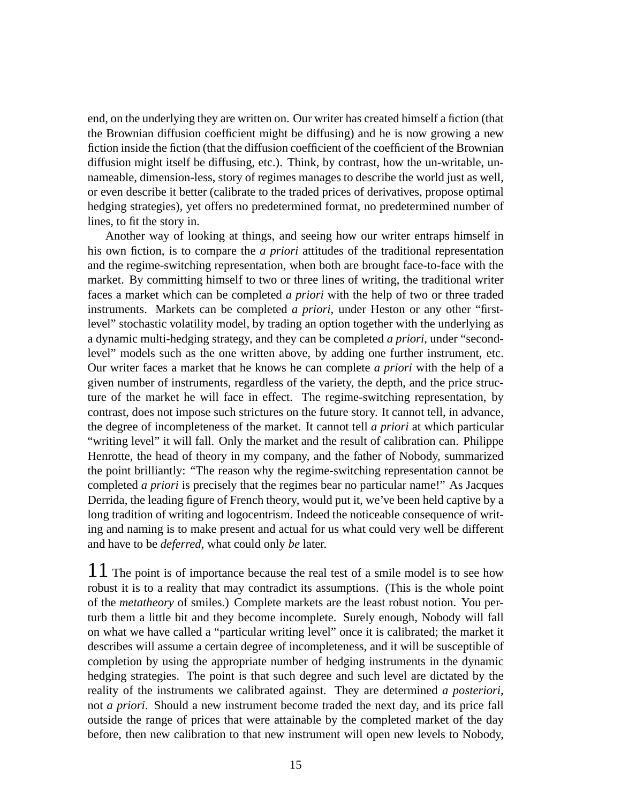end, on the underlying they are written on. Our writer has created himself a fiction (that the Brownian diffusion coefficient might be diffusing) and he is now growing a new fiction inside the fiction (that the diffusion coefficient of the coefficient of the Brownian diffusion might itself be diffusing, etc.). Think, by contrast, how the un-writable, unnameable, dimension-less, story of regimes manages to describe the world just as well, or even describe it better (calibrate to the traded prices of derivatives, propose optimal hedging strategies), yet offers no predetermined format, no predetermined number of lines, to fit the story in.

Another way of looking at things, and seeing how our writer entraps himself in his own fiction, is to compare the *a priori* attitudes of the traditional representation and the regime-switching representation, when both are brought face-to-face with the market. By committing himself to two or three lines of writing, the traditional writer faces a market which can be completed *a priori* with the help of two or three traded instruments. Markets can be completed *a priori*, under Heston or any other "firstlevel" stochastic volatility model, by trading an option together with the underlying as a dynamic multi-hedging strategy, and they can be completed *a priori*, under "secondlevel" models such as the one written above, by adding one further instrument, etc. Our writer faces a market that he knows he can complete *a priori* with the help of a given number of instruments, regardless of the variety, the depth, and the price structure of the market he will face in effect. The regime-switching representation, by contrast, does not impose such strictures on the future story. It cannot tell, in advance, the degree of incompleteness of the market. It cannot tell *a priori* at which particular "writing level" it will fall. Only the market and the result of calibration can. Philippe Henrotte, the head of theory in my company, and the father of Nobody, summarized the point brilliantly: "The reason why the regime-switching representation cannot be completed *a priori* is precisely that the regimes bear no particular name!" As Jacques Derrida, the leading figure of French theory, would put it, we've been held captive by a long tradition of writing and logocentrism. Indeed the noticeable consequence of writing and naming is to make present and actual for us what could very well be different and have to be *deferred*, what could only *be* later.

11 The point is of importance because the real test of a smile model is to see how robust it is to a reality that may contradict its assumptions. (This is the whole point of the *metatheory* of smiles.) Complete markets are the least robust notion. You perturb them a little bit and they become incomplete. Surely enough, Nobody will fall on what we have called a "particular writing level" once it is calibrated; the market it describes will assume a certain degree of incompleteness, and it will be susceptible of completion by using the appropriate number of hedging instruments in the dynamic hedging strategies. The point is that such degree and such level are dictated by the reality of the instruments we calibrated against. They are determined *a posteriori*, not *a priori*. Should a new instrument become traded the next day, and its price fall outside the range of prices that were attainable by the completed market of the day before, then new calibration to that new instrument will open new levels to Nobody,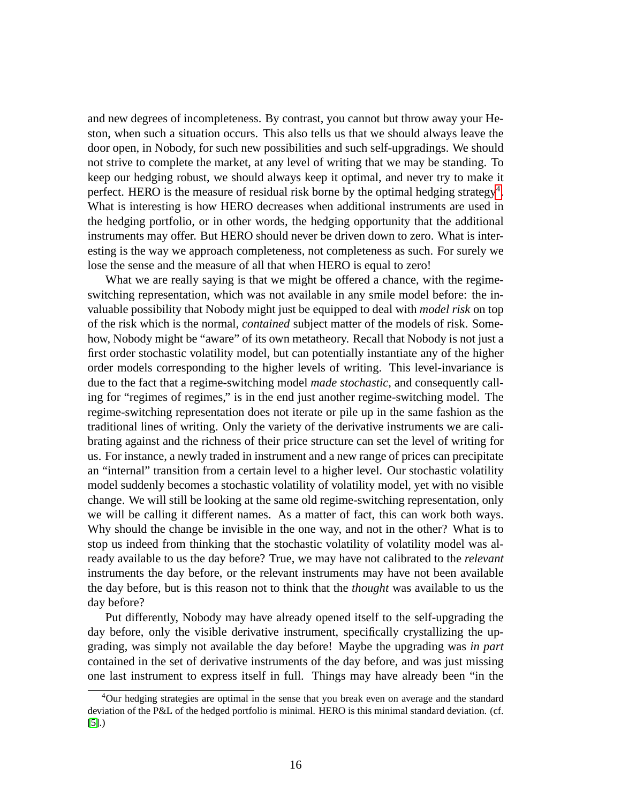and new degrees of incompleteness. By contrast, you cannot but throw away your Heston, when such a situation occurs. This also tells us that we should always leave the door open, in Nobody, for such new possibilities and such self-upgradings. We should not strive to complete the market, at any level of writing that we may be standing. To keep our hedging robust, we should always keep it optimal, and never try to make it perfect. HERO is the measure of residual risk borne by the optimal hedging strategy<sup>[4](#page-15-0)</sup>. What is interesting is how HERO decreases when additional instruments are used in the hedging portfolio, or in other words, the hedging opportunity that the additional instruments may offer. But HERO should never be driven down to zero. What is interesting is the way we approach completeness, not completeness as such. For surely we lose the sense and the measure of all that when HERO is equal to zero!

What we are really saying is that we might be offered a chance, with the regimeswitching representation, which was not available in any smile model before: the invaluable possibility that Nobody might just be equipped to deal with *model risk* on top of the risk which is the normal, *contained* subject matter of the models of risk. Somehow, Nobody might be "aware" of its own metatheory. Recall that Nobody is not just a first order stochastic volatility model, but can potentially instantiate any of the higher order models corresponding to the higher levels of writing. This level-invariance is due to the fact that a regime-switching model *made stochastic*, and consequently calling for "regimes of regimes," is in the end just another regime-switching model. The regime-switching representation does not iterate or pile up in the same fashion as the traditional lines of writing. Only the variety of the derivative instruments we are calibrating against and the richness of their price structure can set the level of writing for us. For instance, a newly traded in instrument and a new range of prices can precipitate an "internal" transition from a certain level to a higher level. Our stochastic volatility model suddenly becomes a stochastic volatility of volatility model, yet with no visible change. We will still be looking at the same old regime-switching representation, only we will be calling it different names. As a matter of fact, this can work both ways. Why should the change be invisible in the one way, and not in the other? What is to stop us indeed from thinking that the stochastic volatility of volatility model was already available to us the day before? True, we may have not calibrated to the *relevant* instruments the day before, or the relevant instruments may have not been available the day before, but is this reason not to think that the *thought* was available to us the day before?

Put differently, Nobody may have already opened itself to the self-upgrading the day before, only the visible derivative instrument, specifically crystallizing the upgrading, was simply not available the day before! Maybe the upgrading was *in part* contained in the set of derivative instruments of the day before, and was just missing one last instrument to express itself in full. Things may have already been "in the

<span id="page-15-0"></span><sup>4</sup>Our hedging strategies are optimal in the sense that you break even on average and the standard deviation of the P&L of the hedged portfolio is minimal. HERO is this minimal standard deviation. (cf. [\[5\]](#page-31-3).)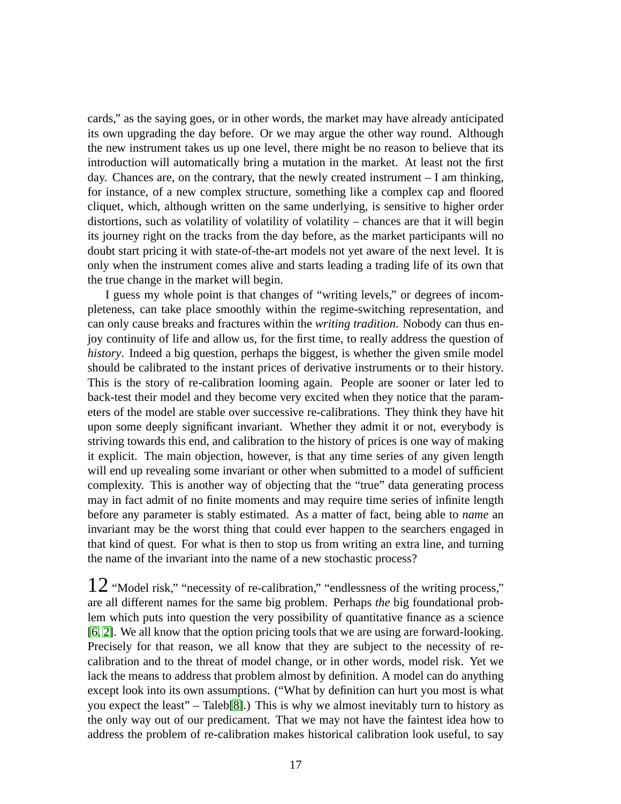cards," as the saying goes, or in other words, the market may have already anticipated its own upgrading the day before. Or we may argue the other way round. Although the new instrument takes us up one level, there might be no reason to believe that its introduction will automatically bring a mutation in the market. At least not the first day. Chances are, on the contrary, that the newly created instrument – I am thinking, for instance, of a new complex structure, something like a complex cap and floored cliquet, which, although written on the same underlying, is sensitive to higher order distortions, such as volatility of volatility of volatility – chances are that it will begin its journey right on the tracks from the day before, as the market participants will no doubt start pricing it with state-of-the-art models not yet aware of the next level. It is only when the instrument comes alive and starts leading a trading life of its own that the true change in the market will begin.

I guess my whole point is that changes of "writing levels," or degrees of incompleteness, can take place smoothly within the regime-switching representation, and can only cause breaks and fractures within the *writing tradition*. Nobody can thus enjoy continuity of life and allow us, for the first time, to really address the question of *history*. Indeed a big question, perhaps the biggest, is whether the given smile model should be calibrated to the instant prices of derivative instruments or to their history. This is the story of re-calibration looming again. People are sooner or later led to back-test their model and they become very excited when they notice that the parameters of the model are stable over successive re-calibrations. They think they have hit upon some deeply significant invariant. Whether they admit it or not, everybody is striving towards this end, and calibration to the history of prices is one way of making it explicit. The main objection, however, is that any time series of any given length will end up revealing some invariant or other when submitted to a model of sufficient complexity. This is another way of objecting that the "true" data generating process may in fact admit of no finite moments and may require time series of infinite length before any parameter is stably estimated. As a matter of fact, being able to *name* an invariant may be the worst thing that could ever happen to the searchers engaged in that kind of quest. For what is then to stop us from writing an extra line, and turning the name of the invariant into the name of a new stochastic process?

12 "Model risk," "necessity of re-calibration," "endlessness of the writing process," are all different names for the same big problem. Perhaps *the* big foundational problem which puts into question the very possibility of quantitative finance as a science [\[6,](#page-31-5) [2\]](#page-31-6). We all know that the option pricing tools that we are using are forward-looking. Precisely for that reason, we all know that they are subject to the necessity of recalibration and to the threat of model change, or in other words, model risk. Yet we lack the means to address that problem almost by definition. A model can do anything except look into its own assumptions. ("What by definition can hurt you most is what you expect the least" – Taleb[\[8\]](#page-31-7).) This is why we almost inevitably turn to history as the only way out of our predicament. That we may not have the faintest idea how to address the problem of re-calibration makes historical calibration look useful, to say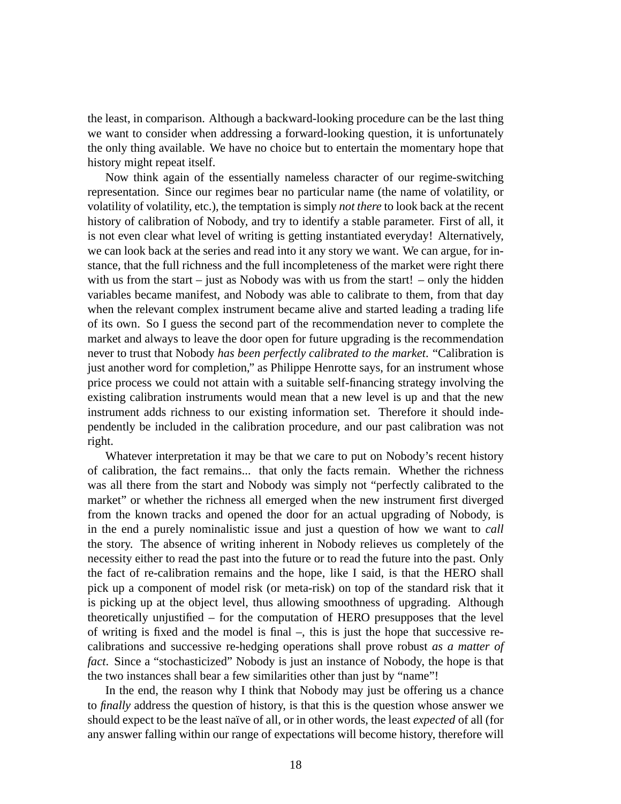the least, in comparison. Although a backward-looking procedure can be the last thing we want to consider when addressing a forward-looking question, it is unfortunately the only thing available. We have no choice but to entertain the momentary hope that history might repeat itself.

Now think again of the essentially nameless character of our regime-switching representation. Since our regimes bear no particular name (the name of volatility, or volatility of volatility, etc.), the temptation is simply *not there* to look back at the recent history of calibration of Nobody, and try to identify a stable parameter. First of all, it is not even clear what level of writing is getting instantiated everyday! Alternatively, we can look back at the series and read into it any story we want. We can argue, for instance, that the full richness and the full incompleteness of the market were right there with us from the start – just as Nobody was with us from the start! – only the hidden variables became manifest, and Nobody was able to calibrate to them, from that day when the relevant complex instrument became alive and started leading a trading life of its own. So I guess the second part of the recommendation never to complete the market and always to leave the door open for future upgrading is the recommendation never to trust that Nobody *has been perfectly calibrated to the market*. "Calibration is just another word for completion," as Philippe Henrotte says, for an instrument whose price process we could not attain with a suitable self-financing strategy involving the existing calibration instruments would mean that a new level is up and that the new instrument adds richness to our existing information set. Therefore it should independently be included in the calibration procedure, and our past calibration was not right.

Whatever interpretation it may be that we care to put on Nobody's recent history of calibration, the fact remains... that only the facts remain. Whether the richness was all there from the start and Nobody was simply not "perfectly calibrated to the market" or whether the richness all emerged when the new instrument first diverged from the known tracks and opened the door for an actual upgrading of Nobody, is in the end a purely nominalistic issue and just a question of how we want to *call* the story. The absence of writing inherent in Nobody relieves us completely of the necessity either to read the past into the future or to read the future into the past. Only the fact of re-calibration remains and the hope, like I said, is that the HERO shall pick up a component of model risk (or meta-risk) on top of the standard risk that it is picking up at the object level, thus allowing smoothness of upgrading. Although theoretically unjustified – for the computation of HERO presupposes that the level of writing is fixed and the model is final –, this is just the hope that successive recalibrations and successive re-hedging operations shall prove robust *as a matter of fact*. Since a "stochasticized" Nobody is just an instance of Nobody, the hope is that the two instances shall bear a few similarities other than just by "name"!

In the end, the reason why I think that Nobody may just be offering us a chance to *finally* address the question of history, is that this is the question whose answer we should expect to be the least naïve of all, or in other words, the least *expected* of all (for any answer falling within our range of expectations will become history, therefore will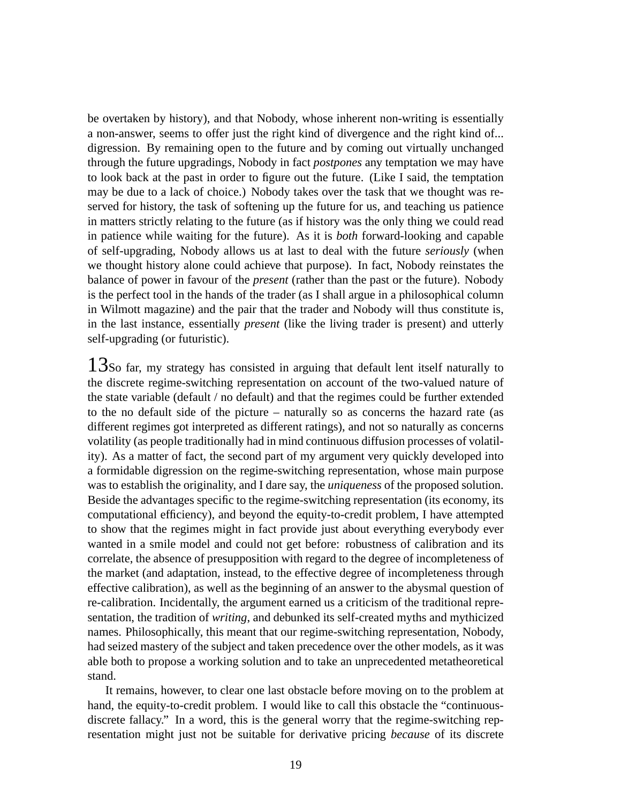be overtaken by history), and that Nobody, whose inherent non-writing is essentially a non-answer, seems to offer just the right kind of divergence and the right kind of... digression. By remaining open to the future and by coming out virtually unchanged through the future upgradings, Nobody in fact *postpones* any temptation we may have to look back at the past in order to figure out the future. (Like I said, the temptation may be due to a lack of choice.) Nobody takes over the task that we thought was reserved for history, the task of softening up the future for us, and teaching us patience in matters strictly relating to the future (as if history was the only thing we could read in patience while waiting for the future). As it is *both* forward-looking and capable of self-upgrading, Nobody allows us at last to deal with the future *seriously* (when we thought history alone could achieve that purpose). In fact, Nobody reinstates the balance of power in favour of the *present* (rather than the past or the future). Nobody is the perfect tool in the hands of the trader (as I shall argue in a philosophical column in Wilmott magazine) and the pair that the trader and Nobody will thus constitute is, in the last instance, essentially *present* (like the living trader is present) and utterly self-upgrading (or futuristic).

 $13$ So far, my strategy has consisted in arguing that default lent itself naturally to the discrete regime-switching representation on account of the two-valued nature of the state variable (default / no default) and that the regimes could be further extended to the no default side of the picture – naturally so as concerns the hazard rate (as different regimes got interpreted as different ratings), and not so naturally as concerns volatility (as people traditionally had in mind continuous diffusion processes of volatility). As a matter of fact, the second part of my argument very quickly developed into a formidable digression on the regime-switching representation, whose main purpose was to establish the originality, and I dare say, the *uniqueness* of the proposed solution. Beside the advantages specific to the regime-switching representation (its economy, its computational efficiency), and beyond the equity-to-credit problem, I have attempted to show that the regimes might in fact provide just about everything everybody ever wanted in a smile model and could not get before: robustness of calibration and its correlate, the absence of presupposition with regard to the degree of incompleteness of the market (and adaptation, instead, to the effective degree of incompleteness through effective calibration), as well as the beginning of an answer to the abysmal question of re-calibration. Incidentally, the argument earned us a criticism of the traditional representation, the tradition of *writing*, and debunked its self-created myths and mythicized names. Philosophically, this meant that our regime-switching representation, Nobody, had seized mastery of the subject and taken precedence over the other models, as it was able both to propose a working solution and to take an unprecedented metatheoretical stand.

It remains, however, to clear one last obstacle before moving on to the problem at hand, the equity-to-credit problem. I would like to call this obstacle the "continuousdiscrete fallacy." In a word, this is the general worry that the regime-switching representation might just not be suitable for derivative pricing *because* of its discrete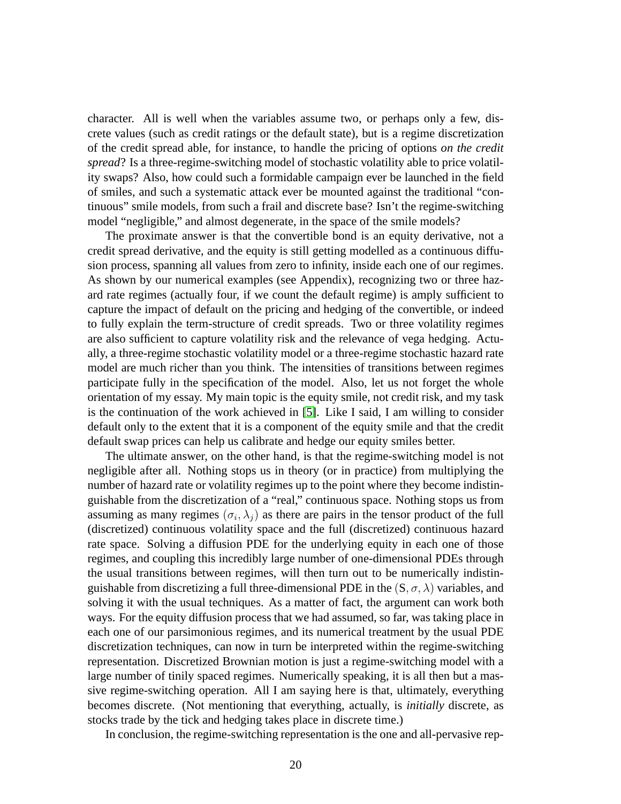character. All is well when the variables assume two, or perhaps only a few, discrete values (such as credit ratings or the default state), but is a regime discretization of the credit spread able, for instance, to handle the pricing of options *on the credit spread*? Is a three-regime-switching model of stochastic volatility able to price volatility swaps? Also, how could such a formidable campaign ever be launched in the field of smiles, and such a systematic attack ever be mounted against the traditional "continuous" smile models, from such a frail and discrete base? Isn't the regime-switching model "negligible," and almost degenerate, in the space of the smile models?

The proximate answer is that the convertible bond is an equity derivative, not a credit spread derivative, and the equity is still getting modelled as a continuous diffusion process, spanning all values from zero to infinity, inside each one of our regimes. As shown by our numerical examples (see Appendix), recognizing two or three hazard rate regimes (actually four, if we count the default regime) is amply sufficient to capture the impact of default on the pricing and hedging of the convertible, or indeed to fully explain the term-structure of credit spreads. Two or three volatility regimes are also sufficient to capture volatility risk and the relevance of vega hedging. Actually, a three-regime stochastic volatility model or a three-regime stochastic hazard rate model are much richer than you think. The intensities of transitions between regimes participate fully in the specification of the model. Also, let us not forget the whole orientation of my essay. My main topic is the equity smile, not credit risk, and my task is the continuation of the work achieved in [\[5\]](#page-31-3). Like I said, I am willing to consider default only to the extent that it is a component of the equity smile and that the credit default swap prices can help us calibrate and hedge our equity smiles better.

The ultimate answer, on the other hand, is that the regime-switching model is not negligible after all. Nothing stops us in theory (or in practice) from multiplying the number of hazard rate or volatility regimes up to the point where they become indistinguishable from the discretization of a "real," continuous space. Nothing stops us from assuming as many regimes  $(\sigma_i, \lambda_j)$  as there are pairs in the tensor product of the full (discretized) continuous volatility space and the full (discretized) continuous hazard rate space. Solving a diffusion PDE for the underlying equity in each one of those regimes, and coupling this incredibly large number of one-dimensional PDEs through the usual transitions between regimes, will then turn out to be numerically indistinguishable from discretizing a full three-dimensional PDE in the  $(S, \sigma, \lambda)$  variables, and solving it with the usual techniques. As a matter of fact, the argument can work both ways. For the equity diffusion process that we had assumed, so far, was taking place in each one of our parsimonious regimes, and its numerical treatment by the usual PDE discretization techniques, can now in turn be interpreted within the regime-switching representation. Discretized Brownian motion is just a regime-switching model with a large number of tinily spaced regimes. Numerically speaking, it is all then but a massive regime-switching operation. All I am saying here is that, ultimately, everything becomes discrete. (Not mentioning that everything, actually, is *initially* discrete, as stocks trade by the tick and hedging takes place in discrete time.)

In conclusion, the regime-switching representation is the one and all-pervasive rep-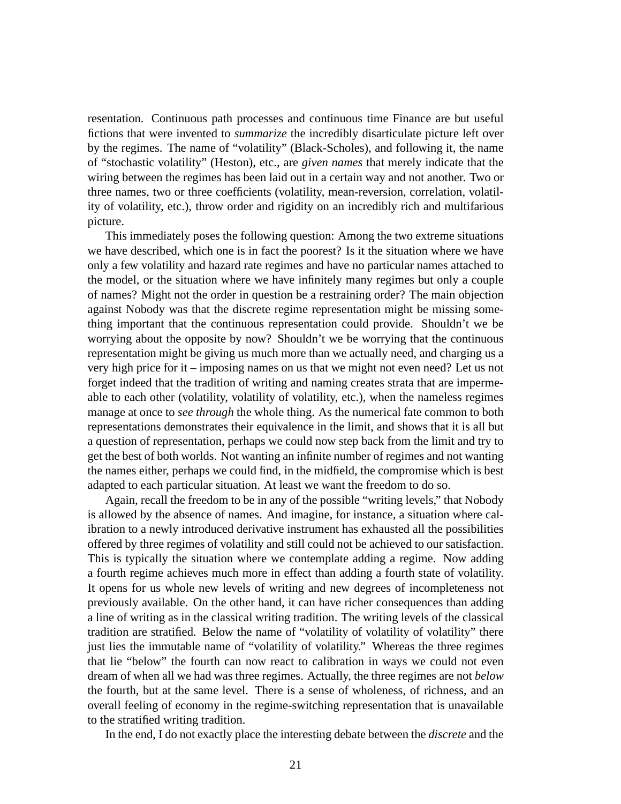resentation. Continuous path processes and continuous time Finance are but useful fictions that were invented to *summarize* the incredibly disarticulate picture left over by the regimes. The name of "volatility" (Black-Scholes), and following it, the name of "stochastic volatility" (Heston), etc., are *given names* that merely indicate that the wiring between the regimes has been laid out in a certain way and not another. Two or three names, two or three coefficients (volatility, mean-reversion, correlation, volatility of volatility, etc.), throw order and rigidity on an incredibly rich and multifarious picture.

This immediately poses the following question: Among the two extreme situations we have described, which one is in fact the poorest? Is it the situation where we have only a few volatility and hazard rate regimes and have no particular names attached to the model, or the situation where we have infinitely many regimes but only a couple of names? Might not the order in question be a restraining order? The main objection against Nobody was that the discrete regime representation might be missing something important that the continuous representation could provide. Shouldn't we be worrying about the opposite by now? Shouldn't we be worrying that the continuous representation might be giving us much more than we actually need, and charging us a very high price for it – imposing names on us that we might not even need? Let us not forget indeed that the tradition of writing and naming creates strata that are impermeable to each other (volatility, volatility of volatility, etc.), when the nameless regimes manage at once to *see through* the whole thing. As the numerical fate common to both representations demonstrates their equivalence in the limit, and shows that it is all but a question of representation, perhaps we could now step back from the limit and try to get the best of both worlds. Not wanting an infinite number of regimes and not wanting the names either, perhaps we could find, in the midfield, the compromise which is best adapted to each particular situation. At least we want the freedom to do so.

Again, recall the freedom to be in any of the possible "writing levels," that Nobody is allowed by the absence of names. And imagine, for instance, a situation where calibration to a newly introduced derivative instrument has exhausted all the possibilities offered by three regimes of volatility and still could not be achieved to our satisfaction. This is typically the situation where we contemplate adding a regime. Now adding a fourth regime achieves much more in effect than adding a fourth state of volatility. It opens for us whole new levels of writing and new degrees of incompleteness not previously available. On the other hand, it can have richer consequences than adding a line of writing as in the classical writing tradition. The writing levels of the classical tradition are stratified. Below the name of "volatility of volatility of volatility" there just lies the immutable name of "volatility of volatility." Whereas the three regimes that lie "below" the fourth can now react to calibration in ways we could not even dream of when all we had was three regimes. Actually, the three regimes are not *below* the fourth, but at the same level. There is a sense of wholeness, of richness, and an overall feeling of economy in the regime-switching representation that is unavailable to the stratified writing tradition.

In the end, I do not exactly place the interesting debate between the *discrete* and the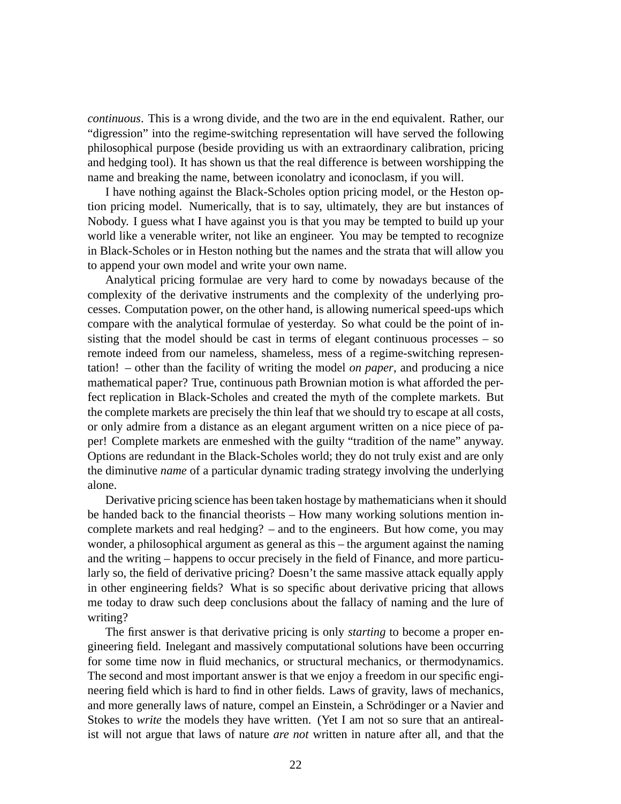*continuous*. This is a wrong divide, and the two are in the end equivalent. Rather, our "digression" into the regime-switching representation will have served the following philosophical purpose (beside providing us with an extraordinary calibration, pricing and hedging tool). It has shown us that the real difference is between worshipping the name and breaking the name, between iconolatry and iconoclasm, if you will.

I have nothing against the Black-Scholes option pricing model, or the Heston option pricing model. Numerically, that is to say, ultimately, they are but instances of Nobody. I guess what I have against you is that you may be tempted to build up your world like a venerable writer, not like an engineer. You may be tempted to recognize in Black-Scholes or in Heston nothing but the names and the strata that will allow you to append your own model and write your own name.

Analytical pricing formulae are very hard to come by nowadays because of the complexity of the derivative instruments and the complexity of the underlying processes. Computation power, on the other hand, is allowing numerical speed-ups which compare with the analytical formulae of yesterday. So what could be the point of insisting that the model should be cast in terms of elegant continuous processes – so remote indeed from our nameless, shameless, mess of a regime-switching representation! – other than the facility of writing the model *on paper*, and producing a nice mathematical paper? True, continuous path Brownian motion is what afforded the perfect replication in Black-Scholes and created the myth of the complete markets. But the complete markets are precisely the thin leaf that we should try to escape at all costs, or only admire from a distance as an elegant argument written on a nice piece of paper! Complete markets are enmeshed with the guilty "tradition of the name" anyway. Options are redundant in the Black-Scholes world; they do not truly exist and are only the diminutive *name* of a particular dynamic trading strategy involving the underlying alone.

Derivative pricing science has been taken hostage by mathematicians when it should be handed back to the financial theorists – How many working solutions mention incomplete markets and real hedging? – and to the engineers. But how come, you may wonder, a philosophical argument as general as this – the argument against the naming and the writing – happens to occur precisely in the field of Finance, and more particularly so, the field of derivative pricing? Doesn't the same massive attack equally apply in other engineering fields? What is so specific about derivative pricing that allows me today to draw such deep conclusions about the fallacy of naming and the lure of writing?

The first answer is that derivative pricing is only *starting* to become a proper engineering field. Inelegant and massively computational solutions have been occurring for some time now in fluid mechanics, or structural mechanics, or thermodynamics. The second and most important answer is that we enjoy a freedom in our specific engineering field which is hard to find in other fields. Laws of gravity, laws of mechanics, and more generally laws of nature, compel an Einstein, a Schrödinger or a Navier and Stokes to *write* the models they have written. (Yet I am not so sure that an antirealist will not argue that laws of nature *are not* written in nature after all, and that the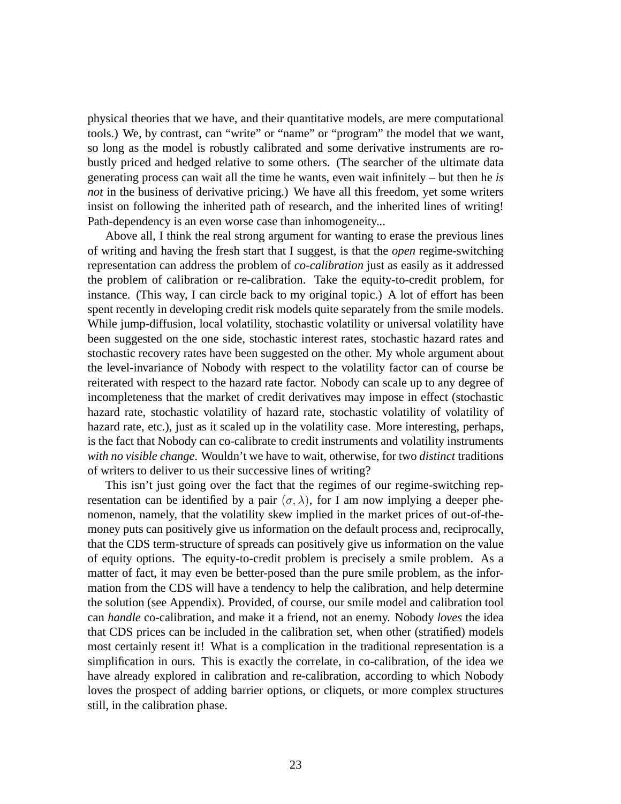physical theories that we have, and their quantitative models, are mere computational tools.) We, by contrast, can "write" or "name" or "program" the model that we want, so long as the model is robustly calibrated and some derivative instruments are robustly priced and hedged relative to some others. (The searcher of the ultimate data generating process can wait all the time he wants, even wait infinitely – but then he *is not* in the business of derivative pricing.) We have all this freedom, yet some writers insist on following the inherited path of research, and the inherited lines of writing! Path-dependency is an even worse case than inhomogeneity...

Above all, I think the real strong argument for wanting to erase the previous lines of writing and having the fresh start that I suggest, is that the *open* regime-switching representation can address the problem of *co-calibration* just as easily as it addressed the problem of calibration or re-calibration. Take the equity-to-credit problem, for instance. (This way, I can circle back to my original topic.) A lot of effort has been spent recently in developing credit risk models quite separately from the smile models. While jump-diffusion, local volatility, stochastic volatility or universal volatility have been suggested on the one side, stochastic interest rates, stochastic hazard rates and stochastic recovery rates have been suggested on the other. My whole argument about the level-invariance of Nobody with respect to the volatility factor can of course be reiterated with respect to the hazard rate factor. Nobody can scale up to any degree of incompleteness that the market of credit derivatives may impose in effect (stochastic hazard rate, stochastic volatility of hazard rate, stochastic volatility of volatility of hazard rate, etc.), just as it scaled up in the volatility case. More interesting, perhaps, is the fact that Nobody can co-calibrate to credit instruments and volatility instruments *with no visible change*. Wouldn't we have to wait, otherwise, for two *distinct* traditions of writers to deliver to us their successive lines of writing?

This isn't just going over the fact that the regimes of our regime-switching representation can be identified by a pair  $(\sigma, \lambda)$ , for I am now implying a deeper phenomenon, namely, that the volatility skew implied in the market prices of out-of-themoney puts can positively give us information on the default process and, reciprocally, that the CDS term-structure of spreads can positively give us information on the value of equity options. The equity-to-credit problem is precisely a smile problem. As a matter of fact, it may even be better-posed than the pure smile problem, as the information from the CDS will have a tendency to help the calibration, and help determine the solution (see Appendix). Provided, of course, our smile model and calibration tool can *handle* co-calibration, and make it a friend, not an enemy. Nobody *loves* the idea that CDS prices can be included in the calibration set, when other (stratified) models most certainly resent it! What is a complication in the traditional representation is a simplification in ours. This is exactly the correlate, in co-calibration, of the idea we have already explored in calibration and re-calibration, according to which Nobody loves the prospect of adding barrier options, or cliquets, or more complex structures still, in the calibration phase.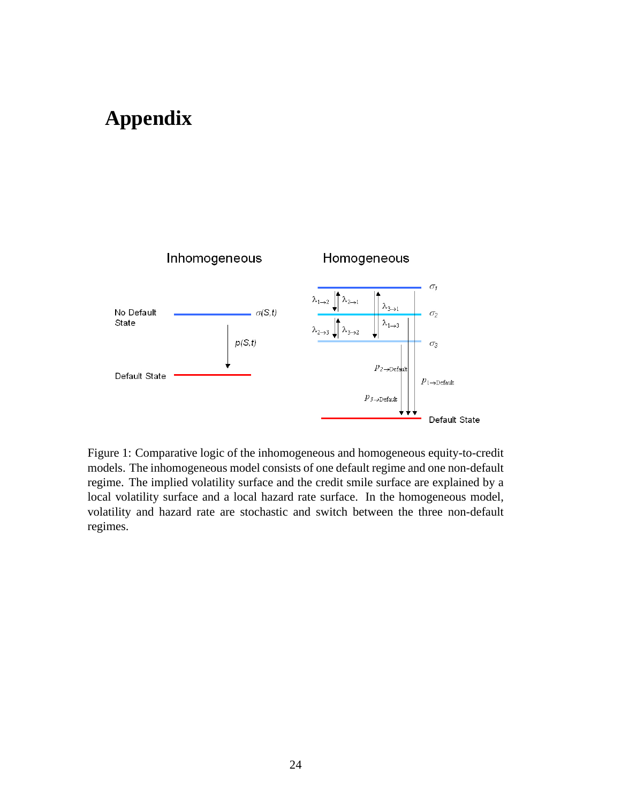# **Appendix**



Figure 1: Comparative logic of the inhomogeneous and homogeneous equity-to-credit models. The inhomogeneous model consists of one default regime and one non-default regime. The implied volatility surface and the credit smile surface are explained by a local volatility surface and a local hazard rate surface. In the homogeneous model, volatility and hazard rate are stochastic and switch between the three non-default regimes.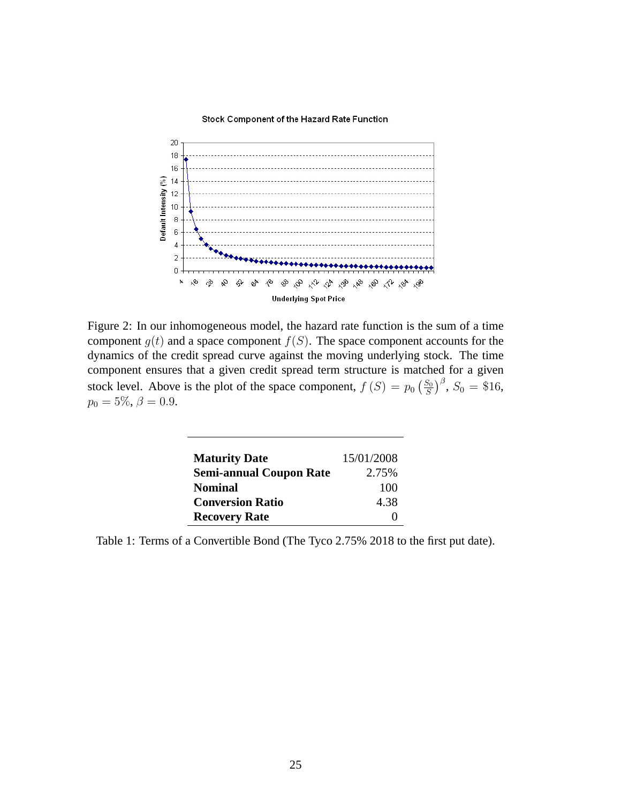#### Stock Component of the Hazard Rate Function



<span id="page-24-1"></span>Figure 2: In our inhomogeneous model, the hazard rate function is the sum of a time component  $g(t)$  and a space component  $f(S)$ . The space component accounts for the dynamics of the credit spread curve against the moving underlying stock. The time component ensures that a given credit spread term structure is matched for a given stock level. Above is the plot of the space component,  $f(S) = p_0 \left(\frac{S_0}{S}\right)$  $\left(S_0\over S\right)^{\beta},\,S_0\,=\,\$16,$  $p_0 = 5\%, \beta = 0.9.$ 

| <b>Maturity Date</b>           | 15/01/2008 |
|--------------------------------|------------|
| <b>Semi-annual Coupon Rate</b> | 2.75%      |
| <b>Nominal</b>                 | 100        |
| <b>Conversion Ratio</b>        | 4.38       |
| <b>Recovery Rate</b>           |            |

<span id="page-24-0"></span>Table 1: Terms of a Convertible Bond (The Tyco 2.75% 2018 to the first put date).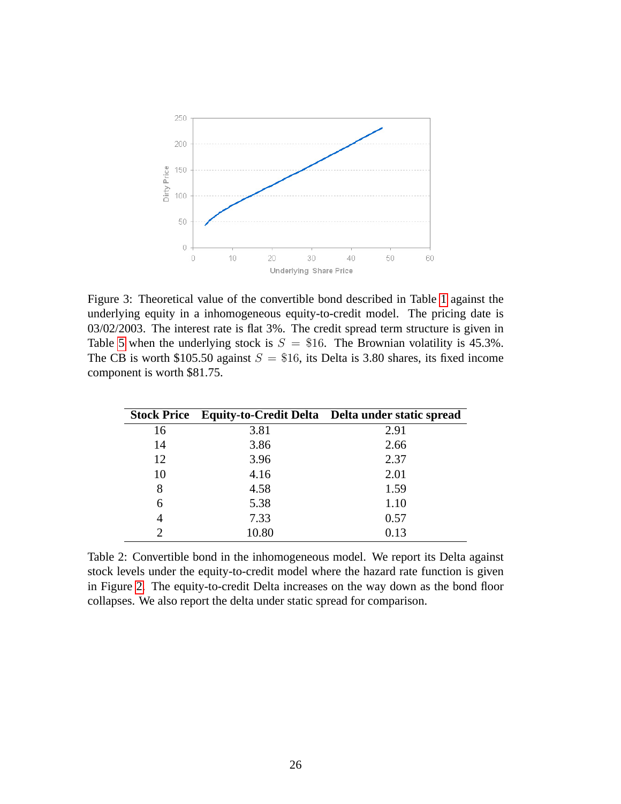

Figure 3: Theoretical value of the convertible bond described in Table [1](#page-24-0) against the underlying equity in a inhomogeneous equity-to-credit model. The pricing date is 03/02/2003. The interest rate is flat 3%. The credit spread term structure is given in Table [5](#page-28-0) when the underlying stock is  $S = $16$ . The Brownian volatility is 45.3%. The CB is worth \$105.50 against  $S = $16$ , its Delta is 3.80 shares, its fixed income component is worth \$81.75.

|    |       | Stock Price Equity-to-Credit Delta Delta under static spread |
|----|-------|--------------------------------------------------------------|
| 16 | 3.81  | 2.91                                                         |
| 14 | 3.86  | 2.66                                                         |
| 12 | 3.96  | 2.37                                                         |
| 10 | 4.16  | 2.01                                                         |
| 8  | 4.58  | 1.59                                                         |
| 6  | 5.38  | 1.10                                                         |
| 4  | 7.33  | 0.57                                                         |
|    | 10.80 | 0.13                                                         |

<span id="page-25-0"></span>Table 2: Convertible bond in the inhomogeneous model. We report its Delta against stock levels under the equity-to-credit model where the hazard rate function is given in Figure [2.](#page-24-1) The equity-to-credit Delta increases on the way down as the bond floor collapses. We also report the delta under static spread for comparison.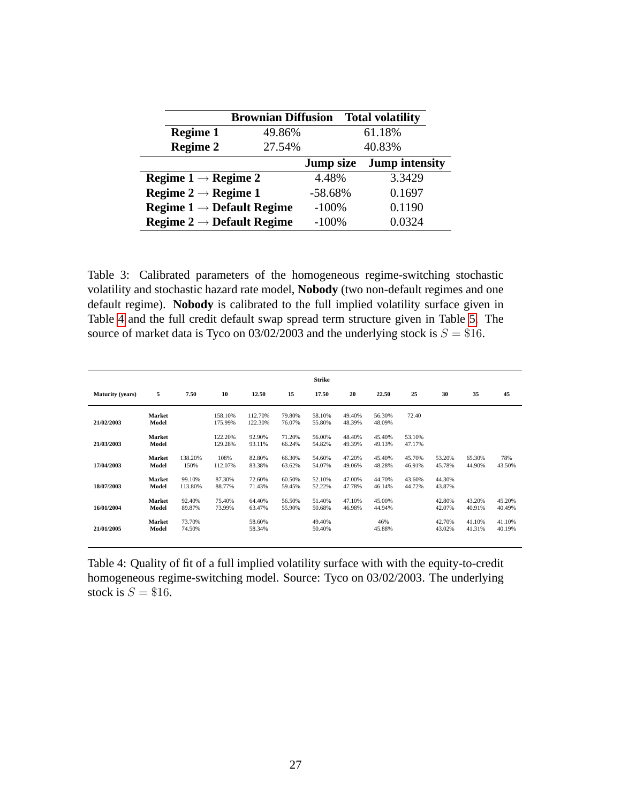|                                 | <b>Brownian Diffusion</b>             |                  | <b>Total volatility</b> |  |  |
|---------------------------------|---------------------------------------|------------------|-------------------------|--|--|
| <b>Regime 1</b>                 | 49.86%                                |                  | 61.18%                  |  |  |
| <b>Regime 2</b>                 | 27.54%                                |                  | 40.83%                  |  |  |
|                                 |                                       | <b>Jump</b> size | <b>Jump intensity</b>   |  |  |
| Regime $1 \rightarrow$ Regime 2 |                                       | 4.48%            | 3.3429                  |  |  |
| Regime $2 \rightarrow$ Regime 1 |                                       | $-58.68%$        | 0.1697                  |  |  |
|                                 | Regime $1 \rightarrow$ Default Regime | $-100%$          | 0.1190                  |  |  |
|                                 | Regime $2 \rightarrow$ Default Regime | $-100%$          | 0.0324                  |  |  |

<span id="page-26-1"></span>Table 3: Calibrated parameters of the homogeneous regime-switching stochastic volatility and stochastic hazard rate model, **Nobody** (two non-default regimes and one default regime). **Nobody** is calibrated to the full implied volatility surface given in Table [4](#page-26-0) and the full credit default swap spread term structure given in Table [5.](#page-28-0) The source of market data is Tyco on 03/02/2003 and the underlying stock is  $S = $16$ .

|                         |                        |                   |                    |                    |                  | <b>Strike</b>    |                  |                  |                  |                  |                  |                  |
|-------------------------|------------------------|-------------------|--------------------|--------------------|------------------|------------------|------------------|------------------|------------------|------------------|------------------|------------------|
| <b>Maturity (years)</b> | 5                      | 7.50              | 10                 | 12.50              | 15               | 17.50            | 20               | 22.50            | 25               | 30               | 35               | 45               |
| 21/02/2003              | <b>Market</b><br>Model |                   | 158.10%<br>175.99% | 112.70%<br>122.30% | 79.80%<br>76.07% | 58.10%<br>55.80% | 49.40%<br>48.39% | 56.30%<br>48.09% | 72.40            |                  |                  |                  |
| 21/03/2003              | <b>Market</b><br>Model |                   | 122.20%<br>129.28% | 92.90%<br>93.11%   | 71.20%<br>66.24% | 56.00%<br>54.82% | 48.40%<br>49.39% | 45.40%<br>49.13% | 53.10%<br>47.17% |                  |                  |                  |
| 17/04/2003              | <b>Market</b><br>Model | 138.20%<br>150%   | 108%<br>112.07%    | 82.80%<br>83.38%   | 66.30%<br>63.62% | 54.60%<br>54.07% | 47.20%<br>49.06% | 45.40%<br>48.28% | 45.70%<br>46.91% | 53.20%<br>45.78% | 65.30%<br>44.90% | 78%<br>43.50%    |
| 18/07/2003              | <b>Market</b><br>Model | 99.10%<br>113.80% | 87.30%<br>88.77%   | 72.60%<br>71.43%   | 60.50%<br>59.45% | 52.10%<br>52.22% | 47.00%<br>47.78% | 44.70%<br>46.14% | 43.60%<br>44.72% | 44.30%<br>43.87% |                  |                  |
| 16/01/2004              | <b>Market</b><br>Model | 92.40%<br>89.87%  | 75.40%<br>73.99%   | 64.40%<br>63.47%   | 56.50%<br>55.90% | 51.40%<br>50.68% | 47.10%<br>46.98% | 45.00%<br>44.94% |                  | 42.80%<br>42.07% | 43.20%<br>40.91% | 45.20%<br>40.49% |
| 21/01/2005              | <b>Market</b><br>Model | 73.70%<br>74.50%  |                    | 58.60%<br>58.34%   |                  | 49.40%<br>50.40% |                  | 46%<br>45.88%    |                  | 42.70%<br>43.02% | 41.10%<br>41.31% | 41.10%<br>40.19% |
|                         |                        |                   |                    |                    |                  |                  |                  |                  |                  |                  |                  |                  |

<span id="page-26-0"></span>Table 4: Quality of fit of a full implied volatility surface with with the equity-to-credit homogeneous regime-switching model. Source: Tyco on 03/02/2003. The underlying stock is  $S = $16$ .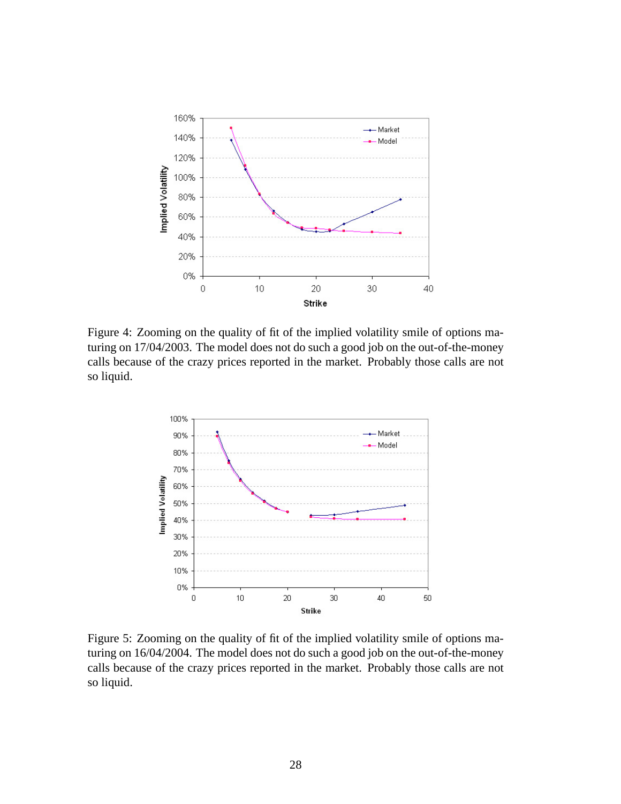

Figure 4: Zooming on the quality of fit of the implied volatility smile of options maturing on 17/04/2003. The model does not do such a good job on the out-of-the-money calls because of the crazy prices reported in the market. Probably those calls are not so liquid.



Figure 5: Zooming on the quality of fit of the implied volatility smile of options maturing on 16/04/2004. The model does not do such a good job on the out-of-the-money calls because of the crazy prices reported in the market. Probably those calls are not so liquid.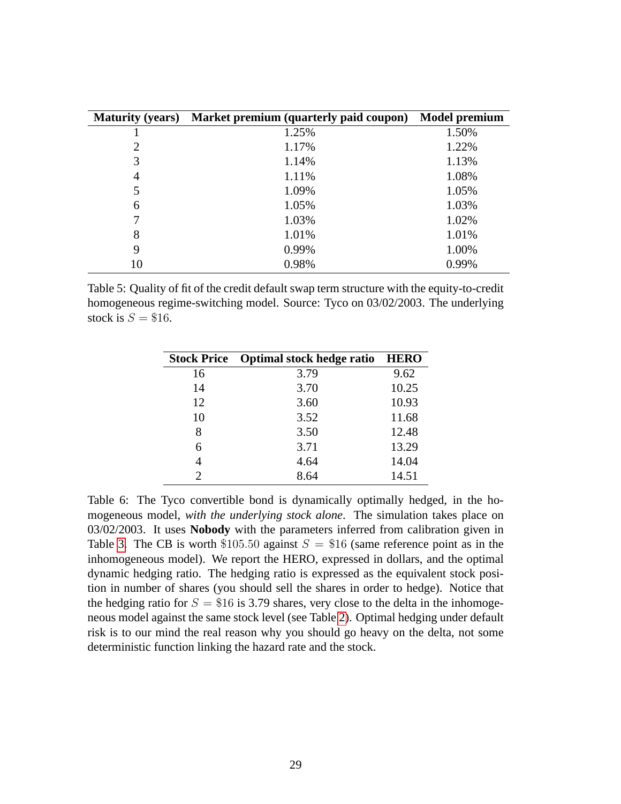| <b>Maturity (years)</b> | Market premium (quarterly paid coupon) | <b>Model premium</b> |
|-------------------------|----------------------------------------|----------------------|
|                         | 1.25%                                  | 1.50%                |
| $\overline{2}$          | 1.17%                                  | 1.22%                |
| 3                       | 1.14%                                  | 1.13%                |
| 4                       | 1.11%                                  | 1.08%                |
| 5                       | 1.09%                                  | 1.05%                |
| 6                       | 1.05%                                  | 1.03%                |
| 7                       | 1.03%                                  | 1.02%                |
| 8                       | 1.01%                                  | 1.01%                |
| 9                       | 0.99%                                  | 1.00%                |
| 10                      | 0.98%                                  | 0.99%                |

<span id="page-28-0"></span>Table 5: Quality of fit of the credit default swap term structure with the equity-to-credit homogeneous regime-switching model. Source: Tyco on 03/02/2003. The underlying stock is  $S = $16$ .

| <b>Stock Price</b> | <b>Optimal stock hedge ratio</b> | <b>HERO</b> |
|--------------------|----------------------------------|-------------|
| 16                 | 3.79                             | 9.62        |
| 14                 | 3.70                             | 10.25       |
| 12                 | 3.60                             | 10.93       |
| 10                 | 3.52                             | 11.68       |
| 8                  | 3.50                             | 12.48       |
| 6                  | 3.71                             | 13.29       |
| 4                  | 4.64                             | 14.04       |
| 2                  | 8.64                             | 14.51       |

Table 6: The Tyco convertible bond is dynamically optimally hedged, in the homogeneous model, *with the underlying stock alone*. The simulation takes place on 03/02/2003. It uses **Nobody** with the parameters inferred from calibration given in Table [3.](#page-26-1) The CB is worth \$105.50 against  $S = $16$  (same reference point as in the inhomogeneous model). We report the HERO, expressed in dollars, and the optimal dynamic hedging ratio. The hedging ratio is expressed as the equivalent stock position in number of shares (you should sell the shares in order to hedge). Notice that the hedging ratio for  $S = $16$  is 3.79 shares, very close to the delta in the inhomogeneous model against the same stock level (see Table [2\)](#page-25-0). Optimal hedging under default risk is to our mind the real reason why you should go heavy on the delta, not some deterministic function linking the hazard rate and the stock.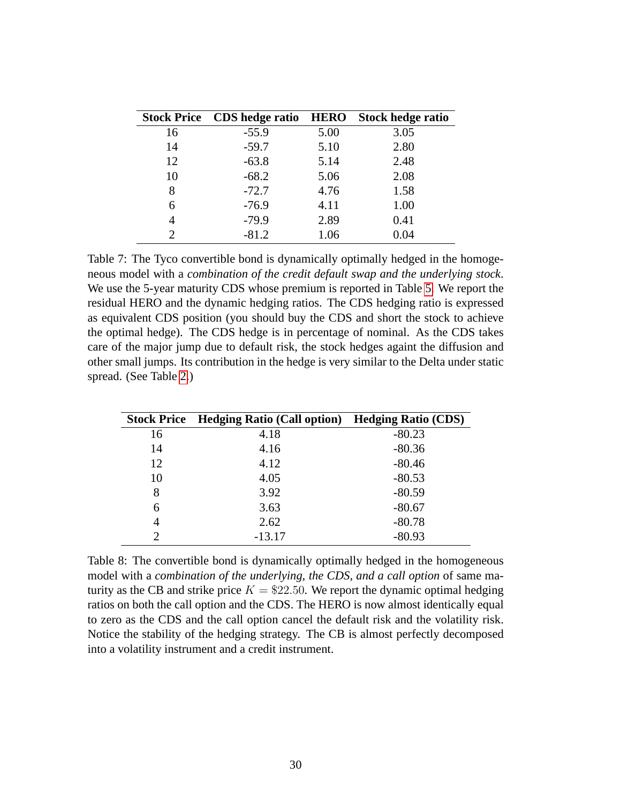|    | <b>Stock Price</b> CDS hedge ratio | <b>HERO</b> | <b>Stock hedge ratio</b> |
|----|------------------------------------|-------------|--------------------------|
| 16 | $-55.9$                            | 5.00        | 3.05                     |
| 14 | $-59.7$                            | 5.10        | 2.80                     |
| 12 | $-63.8$                            | 5.14        | 2.48                     |
| 10 | $-68.2$                            | 5.06        | 2.08                     |
| 8  | $-72.7$                            | 4.76        | 1.58                     |
| 6  | $-76.9$                            | 4.11        | 1.00                     |
| 4  | $-79.9$                            | 2.89        | 0.41                     |
| 2  | $-81.2$                            | 1.06        | 0.04                     |

Table 7: The Tyco convertible bond is dynamically optimally hedged in the homogeneous model with a *combination of the credit default swap and the underlying stock*. We use the 5-year maturity CDS whose premium is reported in Table [5.](#page-28-0) We report the residual HERO and the dynamic hedging ratios. The CDS hedging ratio is expressed as equivalent CDS position (you should buy the CDS and short the stock to achieve the optimal hedge). The CDS hedge is in percentage of nominal. As the CDS takes care of the major jump due to default risk, the stock hedges againt the diffusion and other small jumps. Its contribution in the hedge is very similar to the Delta under static spread. (See Table [2.](#page-25-0))

|    | <b>Stock Price</b> Hedging Ratio (Call option) Hedging Ratio (CDS) |          |
|----|--------------------------------------------------------------------|----------|
| 16 | 4.18                                                               | $-80.23$ |
| 14 | 4.16                                                               | $-80.36$ |
| 12 | 4.12                                                               | $-80.46$ |
| 10 | 4.05                                                               | $-80.53$ |
| 8  | 3.92                                                               | $-80.59$ |
| 6  | 3.63                                                               | $-80.67$ |
| 4  | 2.62                                                               | $-80.78$ |
|    | $-13.17$                                                           | $-80.93$ |

Table 8: The convertible bond is dynamically optimally hedged in the homogeneous model with a *combination of the underlying, the CDS, and a call option* of same maturity as the CB and strike price  $K = $22.50$ . We report the dynamic optimal hedging ratios on both the call option and the CDS. The HERO is now almost identically equal to zero as the CDS and the call option cancel the default risk and the volatility risk. Notice the stability of the hedging strategy. The CB is almost perfectly decomposed into a volatility instrument and a credit instrument.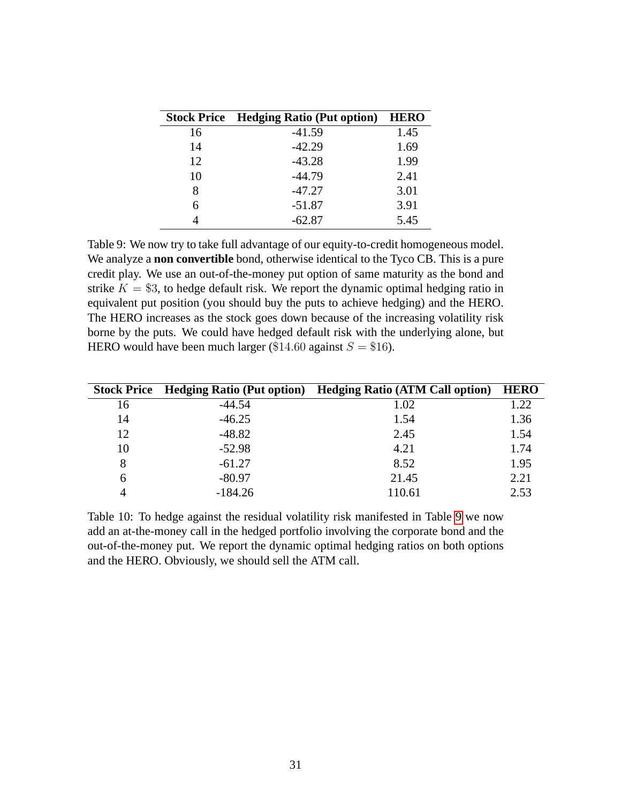| <b>Stock Price</b> | <b>Hedging Ratio (Put option)</b> | <b>HERO</b> |
|--------------------|-----------------------------------|-------------|
| 16                 | $-41.59$                          | 1.45        |
| 14                 | $-42.29$                          | 1.69        |
| 12                 | $-43.28$                          | 1.99        |
| 10                 | $-44.79$                          | 2.41        |
| 8                  | $-47.27$                          | 3.01        |
| 6                  | $-51.87$                          | 3.91        |
|                    | $-62.87$                          | 5.45        |

<span id="page-30-0"></span>Table 9: We now try to take full advantage of our equity-to-credit homogeneous model. We analyze a **non convertible** bond, otherwise identical to the Tyco CB. This is a pure credit play. We use an out-of-the-money put option of same maturity as the bond and strike  $K = $3$ , to hedge default risk. We report the dynamic optimal hedging ratio in equivalent put position (you should buy the puts to achieve hedging) and the HERO. The HERO increases as the stock goes down because of the increasing volatility risk borne by the puts. We could have hedged default risk with the underlying alone, but HERO would have been much larger (\$14.60 against  $S = $16$ ).

|    |           | <b>Stock Price</b> Hedging Ratio (Put option) Hedging Ratio (ATM Call option) | <b>HERO</b> |
|----|-----------|-------------------------------------------------------------------------------|-------------|
| 16 | $-44.54$  | 1.02                                                                          | 1.22        |
| 14 | $-46.25$  | 1.54                                                                          | 1.36        |
| 12 | $-48.82$  | 2.45                                                                          | 1.54        |
| 10 | $-52.98$  | 4.21                                                                          | 1.74        |
| 8  | $-61.27$  | 8.52                                                                          | 1.95        |
| 6  | $-80.97$  | 21.45                                                                         | 2.21        |
|    | $-184.26$ | 110.61                                                                        | 2.53        |

Table 10: To hedge against the residual volatility risk manifested in Table [9](#page-30-0) we now add an at-the-money call in the hedged portfolio involving the corporate bond and the out-of-the-money put. We report the dynamic optimal hedging ratios on both options and the HERO. Obviously, we should sell the ATM call.